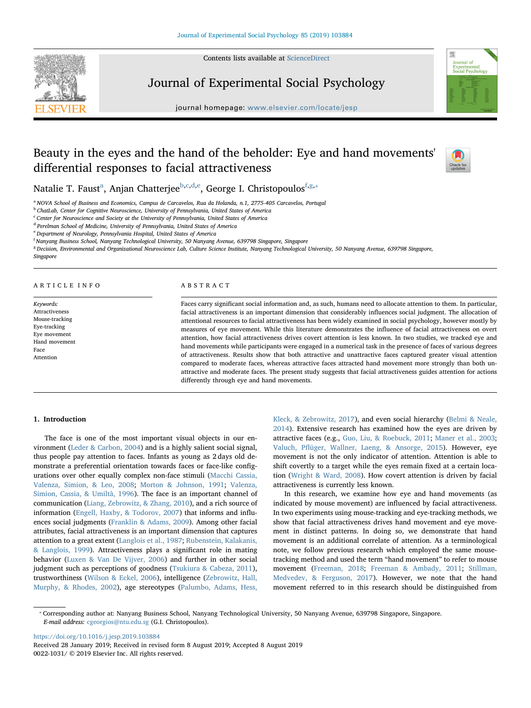Contents lists available at [ScienceDirect](http://www.sciencedirect.com/science/journal/00221031)



Journal of Experimental Social Psychology

journal homepage: [www.elsevier.com/locate/jesp](https://www.elsevier.com/locate/jesp)



# Beauty in the eyes and the hand of the beholder: Eye and hand movements' differential responses to facial attractiveness



N[a](#page-0-0)talie T. Faust<sup>a</sup>, Anjan Chatterjee<sup>[b](#page-0-1)[,c](#page-0-2)[,d,](#page-0-3)[e](#page-0-4)</sup>, George I. Christopoulos<sup>[f,](#page-0-5)[g](#page-0-6),</sup>\*

<span id="page-0-0"></span><sup>a</sup> NOVA School of Business and Economics, Campus de Carcavelos, Rua da Holanda, n.1, 2775-405 Carcavelos, Portugal

<span id="page-0-1"></span>**b ChatLab, Center for Cognitive Neuroscience, University of Pennsylvania, United States of America** 

<span id="page-0-2"></span> $\,^{\rm c}$  Center for Neuroscience and Society at the University of Pennsylvania, United States of America

<span id="page-0-3"></span><sup>d</sup> Perelman School of Medicine, University of Pennsylvania, United States of America

<span id="page-0-4"></span><sup>e</sup> Department of Neurology, Pennsylvania Hospital, United States of America

<span id="page-0-5"></span>f Nanyang Business School, Nanyang Technological University, 50 Nanyang Avenue, 639798 Singapore, Singapore

<span id="page-0-6"></span><sup>g</sup> Decision, Environmental and Organizational Neuroscience Lab, Culture Science Institute, Nanyang Technological University, 50 Nanyang Avenue, 639798 Singapore, Singapore

### ARTICLE INFO

Keywords: Attractiveness Mouse-tracking Eye-tracking Eye movement Hand movement Face Attention

### ABSTRACT

Faces carry significant social information and, as such, humans need to allocate attention to them. In particular, facial attractiveness is an important dimension that considerably influences social judgment. The allocation of attentional resources to facial attractiveness has been widely examined in social psychology, however mostly by measures of eye movement. While this literature demonstrates the influence of facial attractiveness on overt attention, how facial attractiveness drives covert attention is less known. In two studies, we tracked eye and hand movements while participants were engaged in a numerical task in the presence of faces of various degrees of attractiveness. Results show that both attractive and unattractive faces captured greater visual attention compared to moderate faces, whereas attractive faces attracted hand movement more strongly than both unattractive and moderate faces. The present study suggests that facial attractiveness guides attention for actions differently through eye and hand movements.

### 1. Introduction

The face is one of the most important visual objects in our environment ([Leder & Carbon, 2004\)](#page-9-0) and is a highly salient social signal, thus people pay attention to faces. Infants as young as 2 days old demonstrate a preferential orientation towards faces or face-like configurations over other equally complex non-face stimuli ([Macchi Cassia,](#page-9-1) [Valenza, Simion, & Leo, 2008;](#page-9-1) [Morton & Johnson, 1991;](#page-9-2) [Valenza,](#page-9-3) [Simion, Cassia, & Umiltà, 1996\)](#page-9-3). The face is an important channel of communication [\(Liang, Zebrowitz, & Zhang, 2010\)](#page-9-4), and a rich source of information [\(Engell, Haxby, & Todorov, 2007](#page-8-0)) that informs and influences social judgments ([Franklin & Adams, 2009](#page-8-1)). Among other facial attributes, facial attractiveness is an important dimension that captures attention to a great extent ([Langlois et al., 1987;](#page-9-5) [Rubenstein, Kalakanis,](#page-9-6) [& Langlois, 1999\)](#page-9-6). Attractiveness plays a significant role in mating behavior [\(Luxen & Van De Vijver, 2006\)](#page-9-7) and further in other social judgment such as perceptions of goodness [\(Tsukiura & Cabeza, 2011](#page-9-8)), trustworthiness [\(Wilson & Eckel, 2006\)](#page-9-9), intelligence [\(Zebrowitz, Hall,](#page-10-0) [Murphy, & Rhodes, 2002](#page-10-0)), age stereotypes ([Palumbo, Adams, Hess,](#page-9-10)

[Kleck, & Zebrowitz, 2017\)](#page-9-10), and even social hierarchy ([Belmi & Neale,](#page-8-2) [2014\)](#page-8-2). Extensive research has examined how the eyes are driven by attractive faces (e.g., [Guo, Liu, & Roebuck, 2011;](#page-9-11) [Maner et al., 2003](#page-9-12); Valuch, Pfl[üger, Wallner, Laeng, & Ansorge, 2015\)](#page-9-13). However, eye movement is not the only indicator of attention. Attention is able to shift covertly to a target while the eyes remain fixed at a certain location ([Wright & Ward, 2008\)](#page-10-1). How covert attention is driven by facial attractiveness is currently less known.

In this research, we examine how eye and hand movements (as indicated by mouse movement) are influenced by facial attractiveness. In two experiments using mouse-tracking and eye-tracking methods, we show that facial attractiveness drives hand movement and eye movement in distinct patterns. In doing so, we demonstrate that hand movement is an additional correlate of attention. As a terminological note, we follow previous research which employed the same mousetracking method and used the term "hand movement" to refer to mouse movement [\(Freeman, 2018](#page-8-3); [Freeman & Ambady, 2011](#page-8-4); [Stillman,](#page-9-14) [Medvedev, & Ferguson, 2017\)](#page-9-14). However, we note that the hand movement referred to in this research should be distinguished from

<https://doi.org/10.1016/j.jesp.2019.103884>

<span id="page-0-7"></span><sup>⁎</sup> Corresponding author at: Nanyang Business School, Nanyang Technological University, 50 Nanyang Avenue, 639798 Singapore, Singapore. E-mail address: [cgeorgios@ntu.edu.sg](mailto:cgeorgios@ntu.edu.sg) (G.I. Christopoulos).

Received 28 January 2019; Received in revised form 8 August 2019; Accepted 8 August 2019 0022-1031/ © 2019 Elsevier Inc. All rights reserved.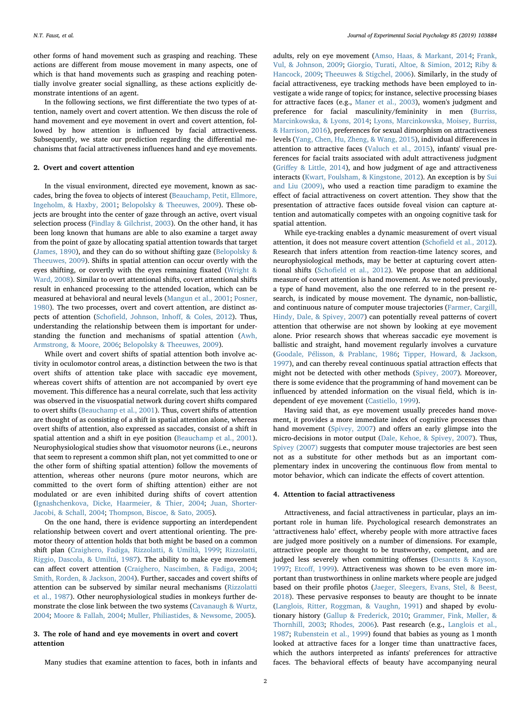other forms of hand movement such as grasping and reaching. These actions are different from mouse movement in many aspects, one of which is that hand movements such as grasping and reaching potentially involve greater social signalling, as these actions explicitly demonstrate intentions of an agent.

In the following sections, we first differentiate the two types of attention, namely overt and covert attention. We then discuss the role of hand movement and eye movement in overt and covert attention, followed by how attention is influenced by facial attractiveness. Subsequently, we state our prediction regarding the differential mechanisms that facial attractiveness influences hand and eye movements.

# 2. Overt and covert attention

In the visual environment, directed eye movement, known as saccades, bring the fovea to objects of interest [\(Beauchamp, Petit, Ellmore,](#page-8-5) [Ingeholm, & Haxby, 2001](#page-8-5); [Belopolsky & Theeuwes, 2009](#page-8-6)). These objects are brought into the center of gaze through an active, overt visual selection process [\(Findlay & Gilchrist, 2003\)](#page-8-7). On the other hand, it has been long known that humans are able to also examine a target away from the point of gaze by allocating spatial attention towards that target ([James, 1890](#page-9-15)), and they can do so without shifting gaze [\(Belopolsky &](#page-8-6) [Theeuwes, 2009](#page-8-6)). Shifts in spatial attention can occur overtly with the eyes shifting, or covertly with the eyes remaining fixated [\(Wright &](#page-10-1) [Ward, 2008\)](#page-10-1). Similar to overt attentional shifts, covert attentional shifts result in enhanced processing to the attended location, which can be measured at behavioral and neural levels [\(Mangun et al., 2001](#page-9-16); [Posner,](#page-9-17) [1980\)](#page-9-17). The two processes, overt and covert attention, are distinct aspects of attention (Schofi[eld, Johnson, Inho](#page-9-18)ff, & Coles, 2012). Thus, understanding the relationship between them is important for understanding the function and mechanisms of spatial attention [\(Awh,](#page-8-8) [Armstrong, & Moore, 2006;](#page-8-8) [Belopolsky & Theeuwes, 2009](#page-8-6)).

While overt and covert shifts of spatial attention both involve activity in oculomotor control areas, a distinction between the two is that overt shifts of attention take place with saccadic eye movement, whereas covert shifts of attention are not accompanied by overt eye movement. This difference has a neural correlate, such that less activity was observed in the visuospatial network during covert shifts compared to overt shifts [\(Beauchamp et al., 2001\)](#page-8-5). Thus, covert shifts of attention are thought of as consisting of a shift in spatial attention alone, whereas overt shifts of attention, also expressed as saccades, consist of a shift in spatial attention and a shift in eye position ([Beauchamp et al., 2001](#page-8-5)). Neurophysiological studies show that visuomotor neurons (i.e., neurons that seem to represent a common shift plan, not yet committed to one or the other form of shifting spatial attention) follow the movements of attention, whereas other neurons (pure motor neurons, which are committed to the overt form of shifting attention) either are not modulated or are even inhibited during shifts of covert attention ([Ignashchenkova, Dicke, Haarmeier, & Thier, 2004](#page-9-19); [Juan, Shorter-](#page-9-20)[Jacobi, & Schall, 2004;](#page-9-20) [Thompson, Biscoe, & Sato, 2005\)](#page-9-21).

On the one hand, there is evidence supporting an interdependent relationship between covert and overt attentional orienting. The premotor theory of attention holds that both might be based on a common shift plan [\(Craighero, Fadiga, Rizzolatti, & Umiltà, 1999;](#page-8-9) [Rizzolatti,](#page-9-22) [Riggio, Dascola, & Umiltá, 1987\)](#page-9-22). The ability to make eye movement can affect covert attention ([Craighero, Nascimben, & Fadiga, 2004](#page-8-10); [Smith, Rorden, & Jackson, 2004\)](#page-9-23). Further, saccades and covert shifts of attention can be subserved by similar neural mechanisms [\(Rizzolatti](#page-9-22) [et al., 1987\)](#page-9-22). Other neurophysiological studies in monkeys further demonstrate the close link between the two systems [\(Cavanaugh & Wurtz,](#page-8-11) [2004;](#page-8-11) [Moore & Fallah, 2004;](#page-9-24) [Muller, Philiastides, & Newsome, 2005\)](#page-9-25).

# 3. The role of hand and eye movements in overt and covert attention

Many studies that examine attention to faces, both in infants and

adults, rely on eye movement [\(Amso, Haas, & Markant, 2014;](#page-8-12) [Frank,](#page-8-13) [Vul, & Johnson, 2009;](#page-8-13) [Giorgio, Turati, Altoe, & Simion, 2012;](#page-9-26) [Riby &](#page-9-27) [Hancock, 2009;](#page-9-27) [Theeuwes & Stigchel, 2006](#page-9-28)). Similarly, in the study of facial attractiveness, eye tracking methods have been employed to investigate a wide range of topics; for instance, selective processing biases for attractive faces (e.g., [Maner et al., 2003\)](#page-9-12), women's judgment and preference for facial masculinity/femininity in men [\(Burriss,](#page-8-14) [Marcinkowska, & Lyons, 2014](#page-8-14); [Lyons, Marcinkowska, Moisey, Burriss,](#page-9-29) [& Harrison, 2016](#page-9-29)), preferences for sexual dimorphism on attractiveness levels [\(Yang, Chen, Hu, Zheng, & Wang, 2015\)](#page-10-2), individual differences in attention to attractive faces ([Valuch et al., 2015](#page-9-13)), infants' visual preferences for facial traits associated with adult attractiveness judgment (Griff[ey & Little, 2014\)](#page-9-30), and how judgment of age and attractiveness interacts [\(Kwart, Foulsham, & Kingstone, 2012\)](#page-9-31). An exception is by [Sui](#page-9-32) [and Liu \(2009\),](#page-9-32) who used a reaction time paradigm to examine the effect of facial attractiveness on covert attention. They show that the presentation of attractive faces outside foveal vision can capture attention and automatically competes with an ongoing cognitive task for spatial attention.

While eye-tracking enables a dynamic measurement of overt visual attention, it does not measure covert attention (Schofi[eld et al., 2012](#page-9-18)). Research that infers attention from reaction-time latency scores, and neurophysiological methods, may be better at capturing covert attentional shifts (Schofi[eld et al., 2012\)](#page-9-18). We propose that an additional measure of covert attention is hand movement. As we noted previously, a type of hand movement, also the one referred to in the present research, is indicated by mouse movement. The dynamic, non-ballistic, and continuous nature of computer mouse trajectories [\(Farmer, Cargill,](#page-8-15) [Hindy, Dale, & Spivey, 2007\)](#page-8-15) can potentially reveal patterns of covert attention that otherwise are not shown by looking at eye movement alone. Prior research shows that whereas saccadic eye movement is ballistic and straight, hand movement regularly involves a curvature ([Goodale, Pélisson, & Prablanc, 1986](#page-9-33); [Tipper, Howard, & Jackson,](#page-9-34) [1997\)](#page-9-34), and can thereby reveal continuous spatial attraction effects that might not be detected with other methods [\(Spivey, 2007](#page-9-35)). Moreover, there is some evidence that the programming of hand movement can be influenced by attended information on the visual field, which is independent of eye movement [\(Castiello, 1999](#page-8-16)).

Having said that, as eye movement usually precedes hand movement, it provides a more immediate index of cognitive processes than hand movement [\(Spivey, 2007\)](#page-9-35) and offers an early glimpse into the micro-decisions in motor output ([Dale, Kehoe, & Spivey, 2007](#page-8-17)). Thus, [Spivey \(2007\)](#page-9-35) suggests that computer mouse trajectories are best seen not as a substitute for other methods but as an important complementary index in uncovering the continuous flow from mental to motor behavior, which can indicate the effects of covert attention.

### 4. Attention to facial attractiveness

Attractiveness, and facial attractiveness in particular, plays an important role in human life. Psychological research demonstrates an 'attractiveness halo' effect, whereby people with more attractive faces are judged more positively on a number of dimensions. For example, attractive people are thought to be trustworthy, competent, and are judged less severely when committing offenses ([Desantts & Kayson,](#page-8-18) [1997;](#page-8-18) Etcoff[, 1999\)](#page-8-19). Attractiveness was shown to be even more important than trustworthiness in online markets where people are judged based on their profile photos [\(Jaeger, Sleegers, Evans, Stel, & Beest,](#page-9-36) [2018\)](#page-9-36). These pervasive responses to beauty are thought to be innate ([Langlois, Ritter, Roggman, & Vaughn, 1991](#page-9-37)) and shaped by evolutionary history [\(Gallup & Frederick, 2010](#page-8-20); [Grammer, Fink, Møller, &](#page-9-38) [Thornhill, 2003;](#page-9-38) [Rhodes, 2006\)](#page-9-39). Past research (e.g., [Langlois et al.,](#page-9-5) [1987;](#page-9-5) [Rubenstein et al., 1999\)](#page-9-6) found that babies as young as 1 month looked at attractive faces for a longer time than unattractive faces, which the authors interpreted as infants' preferences for attractive faces. The behavioral effects of beauty have accompanying neural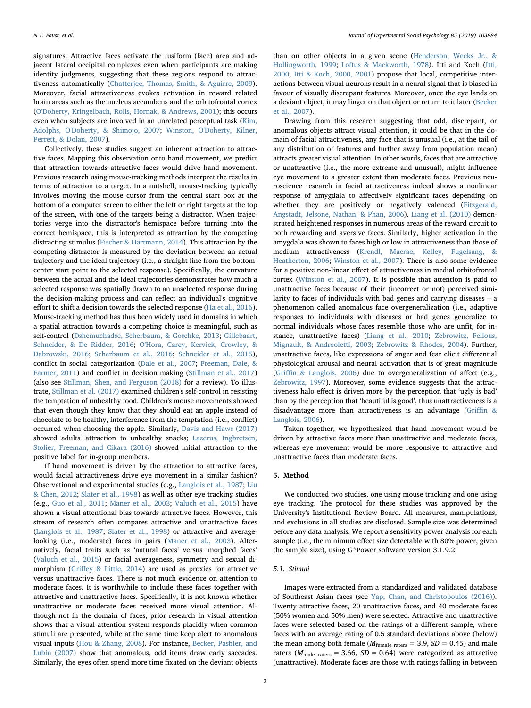signatures. Attractive faces activate the fusiform (face) area and adjacent lateral occipital complexes even when participants are making identity judgments, suggesting that these regions respond to attractiveness automatically [\(Chatterjee, Thomas, Smith, & Aguirre, 2009](#page-8-21)). Moreover, facial attractiveness evokes activation in reward related brain areas such as the nucleus accumbens and the orbitofrontal cortex ([O'Doherty, Kringelbach, Rolls, Hornak, & Andrews, 2001\)](#page-9-40); this occurs even when subjects are involved in an unrelated perceptual task [\(Kim,](#page-9-41) [Adolphs, O'Doherty, & Shimojo, 2007;](#page-9-41) [Winston, O'Doherty, Kilner,](#page-10-3) [Perrett, & Dolan, 2007](#page-10-3)).

Collectively, these studies suggest an inherent attraction to attractive faces. Mapping this observation onto hand movement, we predict that attraction towards attractive faces would drive hand movement. Previous research using mouse-tracking methods interpret the results in terms of attraction to a target. In a nutshell, mouse-tracking typically involves moving the mouse cursor from the central start box at the bottom of a computer screen to either the left or right targets at the top of the screen, with one of the targets being a distractor. When trajectories verge into the distractor's hemispace before turning into the correct hemispace, this is interpreted as attraction by the competing distracting stimulus [\(Fischer & Hartmann, 2014](#page-8-22)). This attraction by the competing distractor is measured by the deviation between an actual trajectory and the ideal trajectory (i.e., a straight line from the bottomcenter start point to the selected response). Specifically, the curvature between the actual and the ideal trajectories demonstrates how much a selected response was spatially drawn to an unselected response during the decision-making process and can reflect an individual's cognitive effort to shift a decision towards the selected response ([Ha et al., 2016](#page-9-42)). Mouse-tracking method has thus been widely used in domains in which a spatial attraction towards a competing choice is meaningful, such as self-control [\(Dshemuchadse, Scherbaum, & Goschke, 2013](#page-8-23); [Gillebaart,](#page-8-24) [Schneider, & De Ridder, 2016](#page-8-24); [O'Hora, Carey, Kervick, Crowley, &](#page-9-43) [Dabrowski, 2016;](#page-9-43) [Scherbaum et al., 2016;](#page-9-44) [Schneider et al., 2015](#page-9-45)), conflict in social categorization ([Dale et al., 2007;](#page-8-17) [Freeman, Dale, &](#page-8-25) [Farmer, 2011](#page-8-25)) and conflict in decision making ([Stillman et al., 2017\)](#page-9-14) (also see [Stillman, Shen, and Ferguson \(2018\)](#page-9-46) for a review). To illustrate, [Stillman et al. \(2017\)](#page-9-14) examined children's self-control in resisting the temptation of unhealthy food. Children's mouse movements showed that even though they know that they should eat an apple instead of chocolate to be healthy, interference from the temptation (i.e., conflict) occurred when choosing the apple. Similarly, [Davis and Haws \(2017\)](#page-8-26) showed adults' attraction to unhealthy snacks; [Lazerus, Ingbretsen,](#page-9-47) [Stolier, Freeman, and Cikara \(2016\)](#page-9-47) showed initial attraction to the positive label for in-group members.

If hand movement is driven by the attraction to attractive faces, would facial attractiveness drive eye movement in a similar fashion? Observational and experimental studies (e.g., [Langlois et al., 1987;](#page-9-5) [Liu](#page-9-48) [& Chen, 2012](#page-9-48); [Slater et al., 1998\)](#page-9-49) as well as other eye tracking studies (e.g., Guo [et al., 2011;](#page-9-11) [Maner et al., 2003;](#page-9-12) [Valuch et al., 2015\)](#page-9-13) have shown a visual attentional bias towards attractive faces. However, this stream of research often compares attractive and unattractive faces ([Langlois et al., 1987;](#page-9-5) [Slater et al., 1998\)](#page-9-49) or attractive and averagelooking (i.e., moderate) faces in pairs ([Maner et al., 2003\)](#page-9-12). Alternatively, facial traits such as 'natural faces' versus 'morphed faces' ([Valuch et al., 2015\)](#page-9-13) or facial averageness, symmetry and sexual dimorphism (Griff[ey & Little, 2014\)](#page-9-30) are used as proxies for attractive versus unattractive faces. There is not much evidence on attention to moderate faces. It is worthwhile to include these faces together with attractive and unattractive faces. Specifically, it is not known whether unattractive or moderate faces received more visual attention. Although not in the domain of faces, prior research in visual attention shows that a visual attention system responds placidly when common stimuli are presented, while at the same time keep alert to anomalous visual inputs ([Hou & Zhang, 2008](#page-9-50)). For instance, [Becker, Pashler, and](#page-8-27) [Lubin \(2007\)](#page-8-27) show that anomalous, odd items draw early saccades. Similarly, the eyes often spend more time fixated on the deviant objects

than on other objects in a given scene ([Henderson, Weeks Jr., &](#page-9-51) [Hollingworth, 1999](#page-9-51); [Loftus & Mackworth, 1978](#page-9-52)). Itti and Koch ([Itti,](#page-9-53) [2000;](#page-9-53) [Itti & Koch, 2000, 2001\)](#page-9-54) propose that local, competitive interactions between visual neurons result in a neural signal that is biased in favour of visually discrepant features. Moreover, once the eye lands on a deviant object, it may linger on that object or return to it later ([Becker](#page-8-27) [et al., 2007](#page-8-27)).

Drawing from this research suggesting that odd, discrepant, or anomalous objects attract visual attention, it could be that in the domain of facial attractiveness, any face that is unusual (i.e., at the tail of any distribution of features and further away from population mean) attracts greater visual attention. In other words, faces that are attractive or unattractive (i.e., the more extreme and unusual), might influence eye movement to a greater extent than moderate faces. Previous neuroscience research in facial attractiveness indeed shows a nonlinear response of amygdala to affectively significant faces depending on whether they are positively or negatively valenced [\(Fitzgerald,](#page-8-28) [Angstadt, Jelsone, Nathan, & Phan, 2006](#page-8-28)). [Liang et al. \(2010\)](#page-9-4) demonstrated heightened responses in numerous areas of the reward circuit to both rewarding and aversive faces. Similarly, higher activation in the amygdala was shown to faces high or low in attractiveness than those of medium attractiveness [\(Krendl, Macrae, Kelley, Fugelsang, &](#page-9-55) [Heatherton, 2006;](#page-9-55) [Winston et al., 2007](#page-10-3)). There is also some evidence for a positive non-linear effect of attractiveness in medial orbitofrontal cortex (Winston [et al., 2007](#page-10-3)). It is possible that attention is paid to unattractive faces because of their (incorrect or not) perceived similarity to faces of individuals with bad genes and carrying diseases – a phenomenon called anomalous face overgeneralization (i.e., adaptive responses to individuals with diseases or bad genes generalize to normal individuals whose faces resemble those who are unfit, for instance, unattractive faces) ([Liang et al., 2010;](#page-9-4) [Zebrowitz, Fellous,](#page-10-4) [Mignault, & Andreoletti, 2003;](#page-10-4) [Zebrowitz & Rhodes, 2004](#page-10-5)). Further, unattractive faces, like expressions of anger and fear elicit differential physiological arousal and neural activation that is of great magnitude (Griffi[n & Langlois, 2006](#page-9-56)) due to overgeneralization of affect (e.g., [Zebrowitz, 1997\)](#page-10-6). Moreover, some evidence suggests that the attractiveness halo effect is driven more by the perception that 'ugly is bad' than by the perception that 'beautiful is good', thus unattractiveness is a disadvantage more than attractiveness is an advantage (Griffi[n &](#page-9-56) [Langlois, 2006\)](#page-9-56).

Taken together, we hypothesized that hand movement would be driven by attractive faces more than unattractive and moderate faces, whereas eye movement would be more responsive to attractive and unattractive faces than moderate faces.

# 5. Method

We conducted two studies, one using mouse tracking and one using eye tracking. The protocol for these studies was approved by the University's Institutional Review Board. All measures, manipulations, and exclusions in all studies are disclosed. Sample size was determined before any data analysis. We report a sensitivity power analysis for each sample (i.e., the minimum effect size detectable with 80% power, given the sample size), using G\*Power software version 3.1.9.2.

# 5.1. Stimuli

Images were extracted from a standardized and validated database of Southeast Asian faces (see [Yap, Chan, and Christopoulos \(2016\)](#page-10-7)). Twenty attractive faces, 20 unattractive faces, and 40 moderate faces (50% women and 50% men) were selected. Attractive and unattractive faces were selected based on the ratings of a different sample, where faces with an average rating of 0.5 standard deviations above (below) the mean among both female ( $M_{\text{female rates}} = 3.9$ ,  $SD = 0.45$ ) and male raters ( $M_{\text{male}}$ <sub>raters</sub> = 3.66,  $SD = 0.64$ ) were categorized as attractive (unattractive). Moderate faces are those with ratings falling in between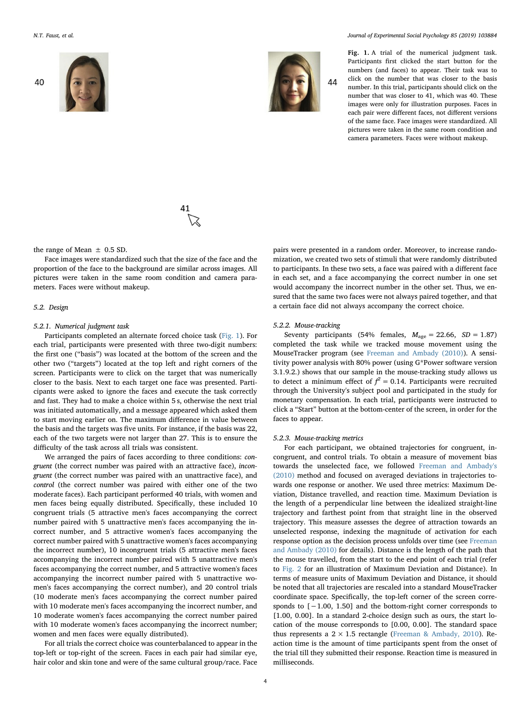<span id="page-3-0"></span>

40





N.T. Faust, et al. *Journal of Experimental Social Psychology 85 (2019) 103884*

Fig. 1. A trial of the numerical judgment task. Participants first clicked the start button for the numbers (and faces) to appear. Their task was to click on the number that was closer to the basis number. In this trial, participants should click on the number that was closer to 41, which was 40. These images were only for illustration purposes. Faces in each pair were different faces, not different versions of the same face. Face images were standardized. All pictures were taken in the same room condition and camera parameters. Faces were without makeup.

the range of Mean  $\pm$  0.5 SD.

Face images were standardized such that the size of the face and the proportion of the face to the background are similar across images. All pictures were taken in the same room condition and camera parameters. Faces were without makeup.

### 5.2. Design

# 5.2.1. Numerical judgment task

Participants completed an alternate forced choice task ([Fig. 1](#page-3-0)). For each trial, participants were presented with three two-digit numbers: the first one ("basis") was located at the bottom of the screen and the other two ("targets") located at the top left and right corners of the screen. Participants were to click on the target that was numerically closer to the basis. Next to each target one face was presented. Participants were asked to ignore the faces and execute the task correctly and fast. They had to make a choice within 5 s, otherwise the next trial was initiated automatically, and a message appeared which asked them to start moving earlier on. The maximum difference in value between the basis and the targets was five units. For instance, if the basis was 22, each of the two targets were not larger than 27. This is to ensure the difficulty of the task across all trials was consistent.

We arranged the pairs of faces according to three conditions: congruent (the correct number was paired with an attractive face), incongruent (the correct number was paired with an unattractive face), and control (the correct number was paired with either one of the two moderate faces). Each participant performed 40 trials, with women and men faces being equally distributed. Specifically, these included 10 congruent trials (5 attractive men's faces accompanying the correct number paired with 5 unattractive men's faces accompanying the incorrect number, and 5 attractive women's faces accompanying the correct number paired with 5 unattractive women's faces accompanying the incorrect number), 10 incongruent trials (5 attractive men's faces accompanying the incorrect number paired with 5 unattractive men's faces accompanying the correct number, and 5 attractive women's faces accompanying the incorrect number paired with 5 unattractive women's faces accompanying the correct number), and 20 control trials (10 moderate men's faces accompanying the correct number paired with 10 moderate men's faces accompanying the incorrect number, and 10 moderate women's faces accompanying the correct number paired with 10 moderate women's faces accompanying the incorrect number; women and men faces were equally distributed).

For all trials the correct choice was counterbalanced to appear in the top-left or top-right of the screen. Faces in each pair had similar eye, hair color and skin tone and were of the same cultural group/race. Face

pairs were presented in a random order. Moreover, to increase randomization, we created two sets of stimuli that were randomly distributed to participants. In these two sets, a face was paired with a different face in each set, and a face accompanying the correct number in one set would accompany the incorrect number in the other set. Thus, we ensured that the same two faces were not always paired together, and that a certain face did not always accompany the correct choice.

### 5.2.2. Mouse-tracking

Seventy participants (54% females,  $M_{\text{age}} = 22.66$ ,  $SD = 1.87$ ) completed the task while we tracked mouse movement using the MouseTracker program (see [Freeman and Ambady \(2010\)\)](#page-8-29). A sensitivity power analysis with 80% power (using G\*Power software version 3.1.9.2.) shows that our sample in the mouse-tracking study allows us to detect a minimum effect of  $f^2 = 0.14$ . Participants were recruited through the University's subject pool and participated in the study for monetary compensation. In each trial, participants were instructed to click a "Start" button at the bottom-center of the screen, in order for the faces to appear.

#### 5.2.3. Mouse-tracking metrics

For each participant, we obtained trajectories for congruent, incongruent, and control trials. To obtain a measure of movement bias towards the unselected face, we followed [Freeman and Ambady's](#page-8-29) [\(2010\)](#page-8-29) method and focused on averaged deviations in trajectories towards one response or another. We used three metrics: Maximum Deviation, Distance travelled, and reaction time. Maximum Deviation is the length of a perpendicular line between the idealized straight-line trajectory and farthest point from that straight line in the observed trajectory. This measure assesses the degree of attraction towards an unselected response, indexing the magnitude of activation for each response option as the decision process unfolds over time (see [Freeman](#page-8-29) [and Ambady \(2010\)](#page-8-29) for details). Distance is the length of the path that the mouse travelled, from the start to the end point of each trial (refer to [Fig. 2](#page-4-0) for an illustration of Maximum Deviation and Distance). In terms of measure units of Maximum Deviation and Distance, it should be noted that all trajectories are rescaled into a standard MouseTracker coordinate space. Specifically, the top-left corner of the screen corresponds to [−1.00, 1.50] and the bottom-right corner corresponds to [1.00, 0.00]. In a standard 2-choice design such as ours, the start location of the mouse corresponds to [0.00, 0.00]. The standard space thus represents a  $2 \times 1.5$  rectangle [\(Freeman & Ambady, 2010](#page-8-29)). Reaction time is the amount of time participants spent from the onset of the trial till they submitted their response. Reaction time is measured in milliseconds.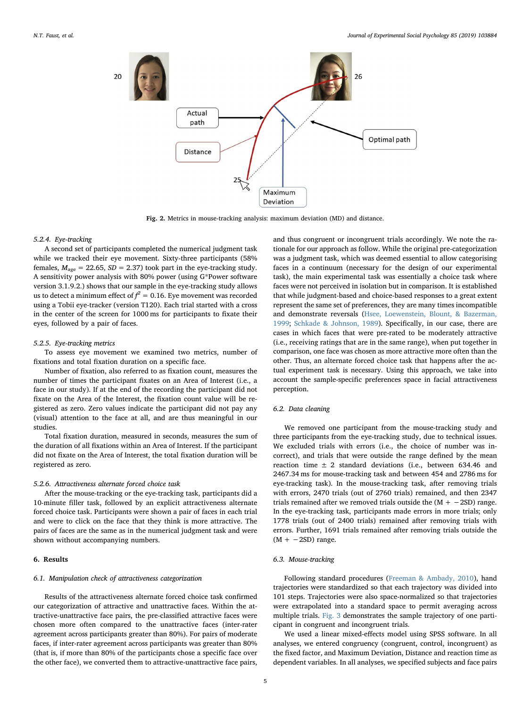<span id="page-4-0"></span>

Fig. 2. Metrics in mouse-tracking analysis: maximum deviation (MD) and distance.

### 5.2.4. Eye-tracking

A second set of participants completed the numerical judgment task while we tracked their eye movement. Sixty-three participants (58% females,  $M_{\text{age}} = 22.65$ ,  $SD = 2.37$ ) took part in the eye-tracking study. A sensitivity power analysis with 80% power (using G\*Power software version 3.1.9.2.) shows that our sample in the eye-tracking study allows us to detect a minimum effect of  $\mathit{f}^2 = 0.16.$  Eye movement was recorded using a Tobii eye-tracker (version T120). Each trial started with a cross in the center of the screen for 1000 ms for participants to fixate their eyes, followed by a pair of faces.

### 5.2.5. Eye-tracking metrics

To assess eye movement we examined two metrics, number of fixations and total fixation duration on a specific face.

Number of fixation, also referred to as fixation count, measures the number of times the participant fixates on an Area of Interest (i.e., a face in our study). If at the end of the recording the participant did not fixate on the Area of the Interest, the fixation count value will be registered as zero. Zero values indicate the participant did not pay any (visual) attention to the face at all, and are thus meaningful in our studies.

Total fixation duration, measured in seconds, measures the sum of the duration of all fixations within an Area of Interest. If the participant did not fixate on the Area of Interest, the total fixation duration will be registered as zero.

# 5.2.6. Attractiveness alternate forced choice task

After the mouse-tracking or the eye-tracking task, participants did a 10-minute filler task, followed by an explicit attractiveness alternate forced choice task. Participants were shown a pair of faces in each trial and were to click on the face that they think is more attractive. The pairs of faces are the same as in the numerical judgment task and were shown without accompanying numbers.

### 6. Results

# 6.1. Manipulation check of attractiveness categorization

Results of the attractiveness alternate forced choice task confirmed our categorization of attractive and unattractive faces. Within the attractive-unattractive face pairs, the pre-classified attractive faces were chosen more often compared to the unattractive faces (inter-rater agreement across participants greater than 80%). For pairs of moderate faces, if inter-rater agreement across participants was greater than 80% (that is, if more than 80% of the participants chose a specific face over the other face), we converted them to attractive-unattractive face pairs,

and thus congruent or incongruent trials accordingly. We note the rationale for our approach as follow. While the original pre-categorization was a judgment task, which was deemed essential to allow categorising faces in a continuum (necessary for the design of our experimental task), the main experimental task was essentially a choice task where faces were not perceived in isolation but in comparison. It is established that while judgment-based and choice-based responses to a great extent represent the same set of preferences, they are many times incompatible and demonstrate reversals ([Hsee, Loewenstein, Blount, & Bazerman,](#page-9-57) [1999;](#page-9-57) [Schkade & Johnson, 1989](#page-9-58)). Specifically, in our case, there are cases in which faces that were pre-rated to be moderately attractive (i.e., receiving ratings that are in the same range), when put together in comparison, one face was chosen as more attractive more often than the other. Thus, an alternate forced choice task that happens after the actual experiment task is necessary. Using this approach, we take into account the sample-specific preferences space in facial attractiveness perception.

# 6.2. Data cleaning

We removed one participant from the mouse-tracking study and three participants from the eye-tracking study, due to technical issues. We excluded trials with errors (i.e., the choice of number was incorrect), and trials that were outside the range defined by the mean reaction time  $\pm$  2 standard deviations (i.e., between 634.46 and 2467.34 ms for mouse-tracking task and between 454 and 2786 ms for eye-tracking task). In the mouse-tracking task, after removing trials with errors, 2470 trials (out of 2760 trials) remained, and then 2347 trials remained after we removed trials outside the  $(M + -2SD)$  range. In the eye-tracking task, participants made errors in more trials; only 1778 trials (out of 2400 trials) remained after removing trials with errors. Further, 1691 trials remained after removing trials outside the  $(M + -2SD)$  range.

### 6.3. Mouse-tracking

Following standard procedures [\(Freeman & Ambady, 2010\)](#page-8-29), hand trajectories were standardized so that each trajectory was divided into 101 steps. Trajectories were also space-normalized so that trajectories were extrapolated into a standard space to permit averaging across multiple trials. [Fig. 3](#page-5-0) demonstrates the sample trajectory of one participant in congruent and incongruent trials.

We used a linear mixed-effects model using SPSS software. In all analyses, we entered congruency (congruent, control, incongruent) as the fixed factor, and Maximum Deviation, Distance and reaction time as dependent variables. In all analyses, we specified subjects and face pairs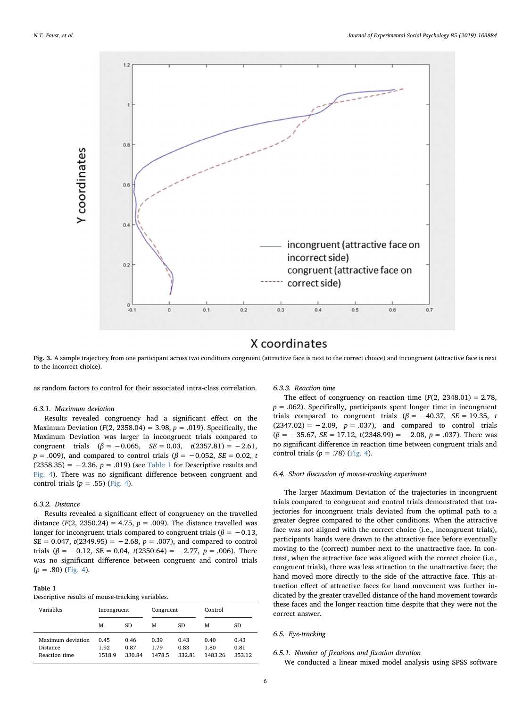<span id="page-5-0"></span>

# X coordinates

Fig. 3. A sample trajectory from one participant across two conditions congruent (attractive face is next to the correct choice) and incongruent (attractive face is next to the incorrect choice).

as random factors to control for their associated intra-class correlation.

### 6.3.1. Maximum deviation

Results revealed congruency had a significant effect on the Maximum Deviation ( $F(2, 2358.04) = 3.98$ ,  $p = .019$ ). Specifically, the Maximum Deviation was larger in incongruent trials compared to congruent trials  $(\beta = -0.065, \ \ SE = 0.03, \ \ t(2357.81) = -2.61,$  $p = .009$ ), and compared to control trials ( $\beta = -0.052$ ,  $SE = 0.02$ , t  $(2358.35) = -2.36$ ,  $p = .019$ ) (see [Table 1](#page-5-1) for Descriptive results and [Fig. 4](#page-6-0)). There was no significant difference between congruent and control trials ( $p = .55$ ) ([Fig. 4](#page-6-0)).

# 6.3.2. Distance

Results revealed a significant effect of congruency on the travelled distance ( $F(2, 2350.24) = 4.75$ ,  $p = .009$ ). The distance travelled was longer for incongruent trials compared to congruent trials ( $\beta = -0.13$ ,  $SE = 0.047$ ,  $t(2349.95) = -2.68$ ,  $p = .007$ ), and compared to control trials ( $\beta$  = -0.12, SE = 0.04, t(2350.64) = -2.77, p = .006). There was no significant difference between congruent and control trials  $(p=.80)$  ([Fig. 4\)](#page-6-0).

### <span id="page-5-1"></span>Table 1

Descriptive results of mouse-tracking variables.

| Variables                                             | Incongruent            |                        | Congruent              |                        | Control                 |                        |
|-------------------------------------------------------|------------------------|------------------------|------------------------|------------------------|-------------------------|------------------------|
|                                                       | М                      | SD.                    | м                      | SD                     | м                       | SD                     |
| Maximum deviation<br><b>Distance</b><br>Reaction time | 0.45<br>1.92<br>1518.9 | 0.46<br>0.87<br>330.84 | 0.39<br>1.79<br>1478.5 | 0.43<br>0.83<br>332.81 | 0.40<br>1.80<br>1483.26 | 0.43<br>0.81<br>353.12 |

# 6.3.3. Reaction time

The effect of congruency on reaction time  $(F(2, 2348.01) = 2.78,$  $p = .062$ ). Specifically, participants spent longer time in incongruent trials compared to congruent trials ( $\beta$  = -40.37, SE = 19.35, t  $(2347.02) = -2.09$ ,  $p = .037$ ), and compared to control trials  $(\beta = -35.67, SE = 17.12, t(2348.99) = -2.08, p = .037)$ . There was no significant difference in reaction time between congruent trials and control trials  $(p = .78)$  ([Fig. 4](#page-6-0)).

### 6.4. Short discussion of mouse-tracking experiment

The larger Maximum Deviation of the trajectories in incongruent trials compared to congruent and control trials demonstrated that trajectories for incongruent trials deviated from the optimal path to a greater degree compared to the other conditions. When the attractive face was not aligned with the correct choice (i.e., incongruent trials), participants' hands were drawn to the attractive face before eventually moving to the (correct) number next to the unattractive face. In contrast, when the attractive face was aligned with the correct choice (i.e., congruent trials), there was less attraction to the unattractive face; the hand moved more directly to the side of the attractive face. This attraction effect of attractive faces for hand movement was further indicated by the greater travelled distance of the hand movement towards these faces and the longer reaction time despite that they were not the correct answer.

### 6.5. Eye-tracking

# 6.5.1. Number of fixations and fixation duration

We conducted a linear mixed model analysis using SPSS software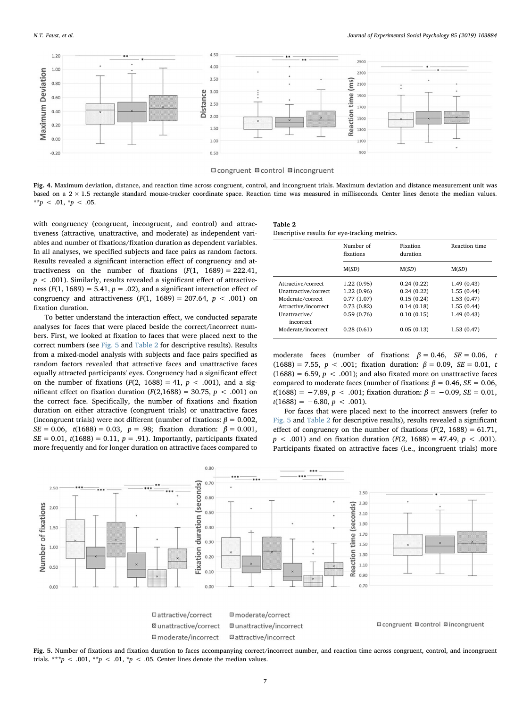<span id="page-6-0"></span>

### **El congruent ■** control **El incongruent**

Fig. 4. Maximum deviation, distance, and reaction time across congruent, control, and incongruent trials. Maximum deviation and distance measurement unit was based on a  $2 \times 1.5$  rectangle standard mouse-tracker coordinate space. Reaction time was measured in milliseconds. Center lines denote the median values. \*\*p < .01, \*p < .05.

with congruency (congruent, incongruent, and control) and attractiveness (attractive, unattractive, and moderate) as independent variables and number of fixations/fixation duration as dependent variables. In all analyses, we specified subjects and face pairs as random factors. Results revealed a significant interaction effect of congruency and attractiveness on the number of fixations  $(F(1, 1689) = 222.41)$ ,  $p < .001$ ). Similarly, results revealed a significant effect of attractiveness ( $F(1, 1689) = 5.41$ ,  $p = .02$ ), and a significant interaction effect of congruency and attractiveness  $(F(1, 1689) = 207.64, p < .001)$  on fixation duration.

To better understand the interaction effect, we conducted separate analyses for faces that were placed beside the correct/incorrect numbers. First, we looked at fixation to faces that were placed next to the correct numbers (see [Fig. 5](#page-6-1) and [Table 2](#page-6-2) for descriptive results). Results from a mixed-model analysis with subjects and face pairs specified as random factors revealed that attractive faces and unattractive faces equally attracted participants' eyes. Congruency had a significant effect on the number of fixations  $(F(2, 1688) = 41, p < .001)$ , and a significant effect on fixation duration  $(F(2,1688) = 30.75, p < .001)$  on the correct face. Specifically, the number of fixations and fixation duration on either attractive (congruent trials) or unattractive faces (incongruent trials) were not different (number of fixations:  $\beta = 0.002$ ,  $SE = 0.06$ ,  $t(1688) = 0.03$ ,  $p = .98$ ; fixation duration:  $\beta = 0.001$ ,  $SE = 0.01$ ,  $t(1688) = 0.11$ ,  $p = .91$ ). Importantly, participants fixated more frequently and for longer duration on attractive faces compared to

### <span id="page-6-2"></span>Table 2

Descriptive results for eye-tracking metrics.

|                            | Number of<br>fixations | Fixation<br>duration | Reaction time |  |
|----------------------------|------------------------|----------------------|---------------|--|
|                            | M(SD)                  | M(SD)                | M(SD)         |  |
| Attractive/correct         | 1.22(0.95)             | 0.24(0.22)           | 1.49(0.43)    |  |
| Unattractive/correct       | 1.22(0.96)             | 0.24(0.22)           | 1.55(0.44)    |  |
| Moderate/correct           | 0.77(1.07)             | 0.15(0.24)           | 1.53(0.47)    |  |
| Attractive/incorrect       | 0.73(0.82)             | 0.14(0.18)           | 1.55(0.44)    |  |
| Unattractive/<br>incorrect | 0.59(0.76)             | 0.10(0.15)           | 1.49(0.43)    |  |
| Moderate/incorrect         | 0.28(0.61)             | 0.05(0.13)           | 1.53(0.47)    |  |

moderate faces (number of fixations:  $\beta = 0.46$ ,  $SE = 0.06$ , t (1688) = 7.55,  $p < .001$ ; fixation duration:  $\beta = 0.09$ ,  $SE = 0.01$ , t (1688) = 6.59,  $p < .001$ ); and also fixated more on unattractive faces compared to moderate faces (number of fixations:  $β = 0.46$ ,  $SE = 0.06$ ,  $t(1688) = -7.89, p < .001$ ; fixation duration:  $\beta = -0.09, SE = 0.01$ ,  $t(1688) = -6.80, p < .001$ .

For faces that were placed next to the incorrect answers (refer to [Fig. 5](#page-6-1) and [Table 2](#page-6-2) for descriptive results), results revealed a significant effect of congruency on the number of fixations  $(F(2, 1688) = 61.71,$  $p < .001$  and on fixation duration ( $F(2, 1688) = 47.49$ ,  $p < .001$ ). Participants fixated on attractive faces (i.e., incongruent trials) more

<span id="page-6-1"></span>

Fig. 5. Number of fixations and fixation duration to faces accompanying correct/incorrect number, and reaction time across congruent, control, and incongruent trials. \*\*\*p < .001, \*\*p < .01, \*p < .05. Center lines denote the median values.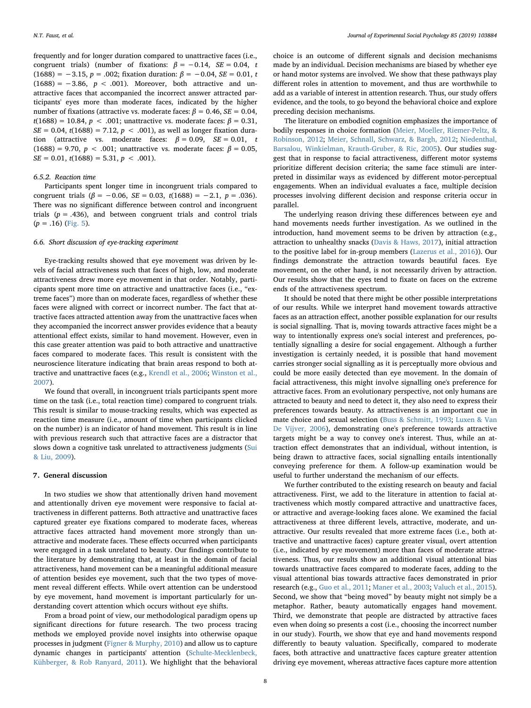frequently and for longer duration compared to unattractive faces (i.e., congruent trials) (number of fixations:  $\beta = -0.14$ ,  $SE = 0.04$ , t (1688) = -3.15,  $p = .002$ ; fixation duration:  $\beta = -0.04$ ,  $SE = 0.01$ , t  $(1688) = -3.86$ ,  $p < .001$ ). Moreover, both attractive and unattractive faces that accompanied the incorrect answer attracted participants' eyes more than moderate faces, indicated by the higher number of fixations (attractive vs. moderate faces:  $\beta = 0.46$ ,  $SE = 0.04$ , t(1688) = 10.84, *p* < .001; unattractive vs. moderate faces:  $β = 0.31$ ,  $SE = 0.04$ ,  $t(1688) = 7.12$ ,  $p < .001$ ), as well as longer fixation duration (attractive vs. moderate faces:  $\beta = 0.09$ ,  $SE = 0.01$ , t (1688) = 9.70,  $p < .001$ ; unattractive vs. moderate faces:  $\beta = 0.05$ .  $SE = 0.01$ ,  $t(1688) = 5.31$ ,  $p < .001$ ).

# 6.5.2. Reaction time

Participants spent longer time in incongruent trials compared to congruent trials ( $\beta$  = -0.06, SE = 0.03, t(1688) = -2.1, p = .036). There was no significant difference between control and incongruent trials  $(p = .436)$ , and between congruent trials and control trials  $(p=.16)$  ([Fig. 5\)](#page-6-1).

### 6.6. Short discussion of eye-tracking experiment

Eye-tracking results showed that eye movement was driven by levels of facial attractiveness such that faces of high, low, and moderate attractiveness drew more eye movement in that order. Notably, participants spent more time on attractive and unattractive faces (i.e., "extreme faces") more than on moderate faces, regardless of whether these faces were aligned with correct or incorrect number. The fact that attractive faces attracted attention away from the unattractive faces when they accompanied the incorrect answer provides evidence that a beauty attentional effect exists, similar to hand movement. However, even in this case greater attention was paid to both attractive and unattractive faces compared to moderate faces. This result is consistent with the neuroscience literature indicating that brain areas respond to both attractive and unattractive faces (e.g., [Krendl et al., 2006;](#page-9-55) [Winston et al.,](#page-10-3) [2007\)](#page-10-3).

We found that overall, in incongruent trials participants spent more time on the task (i.e., total reaction time) compared to congruent trials. This result is similar to mouse-tracking results, which was expected as reaction time measure (i.e., amount of time when participants clicked on the number) is an indicator of hand movement. This result is in line with previous research such that attractive faces are a distractor that slows down a cognitive task unrelated to attractiveness judgments ([Sui](#page-9-32) [& Liu, 2009\)](#page-9-32).

# 7. General discussion

In two studies we show that attentionally driven hand movement and attentionally driven eye movement were responsive to facial attractiveness in different patterns. Both attractive and unattractive faces captured greater eye fixations compared to moderate faces, whereas attractive faces attracted hand movement more strongly than unattractive and moderate faces. These effects occurred when participants were engaged in a task unrelated to beauty. Our findings contribute to the literature by demonstrating that, at least in the domain of facial attractiveness, hand movement can be a meaningful additional measure of attention besides eye movement, such that the two types of movement reveal different effects. While overt attention can be understood by eye movement, hand movement is important particularly for understanding covert attention which occurs without eye shifts.

From a broad point of view, our methodological paradigm opens up significant directions for future research. The two process tracing methods we employed provide novel insights into otherwise opaque processes in judgment ([Figner & Murphy, 2010\)](#page-8-30) and allow us to capture dynamic changes in participants' attention ([Schulte-Mecklenbeck,](#page-9-59) [Kühberger, & Rob Ranyard, 2011\)](#page-9-59). We highlight that the behavioral choice is an outcome of different signals and decision mechanisms made by an individual. Decision mechanisms are biased by whether eye or hand motor systems are involved. We show that these pathways play different roles in attention to movement, and thus are worthwhile to add as a variable of interest in attention research. Thus, our study offers evidence, and the tools, to go beyond the behavioral choice and explore preceding decision mechanisms.

The literature on embodied cognition emphasizes the importance of bodily responses in choice formation [\(Meier, Moeller, Riemer-Peltz, &](#page-9-60) [Robinson, 2012;](#page-9-60) [Meier, Schnall, Schwarz, & Bargh, 2012;](#page-9-61) [Niedenthal,](#page-9-62) [Barsalou, Winkielman, Krauth-Gruber, & Ric, 2005\)](#page-9-62). Our studies suggest that in response to facial attractiveness, different motor systems prioritize different decision criteria; the same face stimuli are interpreted in dissimilar ways as evidenced by different motor-perceptual engagements. When an individual evaluates a face, multiple decision processes involving different decision and response criteria occur in parallel.

The underlying reason driving these differences between eye and hand movements needs further investigation. As we outlined in the introduction, hand movement seems to be driven by attraction (e.g., attraction to unhealthy snacks ([Davis & Haws, 2017](#page-8-26)), initial attraction to the positive label for in-group members [\(Lazerus et al., 2016](#page-9-47))). Our findings demonstrate the attraction towards beautiful faces. Eye movement, on the other hand, is not necessarily driven by attraction. Our results show that the eyes tend to fixate on faces on the extreme ends of the attractiveness spectrum.

It should be noted that there might be other possible interpretations of our results. While we interpret hand movement towards attractive faces as an attraction effect, another possible explanation for our results is social signalling. That is, moving towards attractive faces might be a way to intentionally express one's social interest and preferences, potentially signalling a desire for social engagement. Although a further investigation is certainly needed, it is possible that hand movement carries stronger social signalling as it is perceptually more obvious and could be more easily detected than eye movement. In the domain of facial attractiveness, this might involve signalling one's preference for attractive faces. From an evolutionary perspective, not only humans are attracted to beauty and need to detect it, they also need to express their preferences towards beauty. As attractiveness is an important cue in mate choice and sexual selection ([Buss & Schmitt, 1993](#page-8-31); [Luxen & Van](#page-9-7) [De Vijver, 2006](#page-9-7)), demonstrating one's preference towards attractive targets might be a way to convey one's interest. Thus, while an attraction effect demonstrates that an individual, without intention, is being drawn to attractive faces, social signalling entails intentionally conveying preference for them. A follow-up examination would be useful to further understand the mechanism of our effects.

We further contributed to the existing research on beauty and facial attractiveness. First, we add to the literature in attention to facial attractiveness which mostly compared attractive and unattractive faces, or attractive and average-looking faces alone. We examined the facial attractiveness at three different levels, attractive, moderate, and unattractive. Our results revealed that more extreme faces (i.e., both attractive and unattractive faces) capture greater visual, overt attention (i.e., indicated by eye movement) more than faces of moderate attractiveness. Thus, our results show an additional visual attentional bias towards unattractive faces compared to moderate faces, adding to the visual attentional bias towards attractive faces demonstrated in prior research (e.g., [Guo et al., 2011;](#page-9-11) [Maner et al., 2003](#page-9-12); [Valuch et al., 2015](#page-9-13)). Second, we show that "being moved" by beauty might not simply be a metaphor. Rather, beauty automatically engages hand movement. Third, we demonstrate that people are distracted by attractive faces even when doing so presents a cost (i.e., choosing the incorrect number in our study). Fourth, we show that eye and hand movements respond differently to beauty valuation. Specifically, compared to moderate faces, both attractive and unattractive faces capture greater attention driving eye movement, whereas attractive faces capture more attention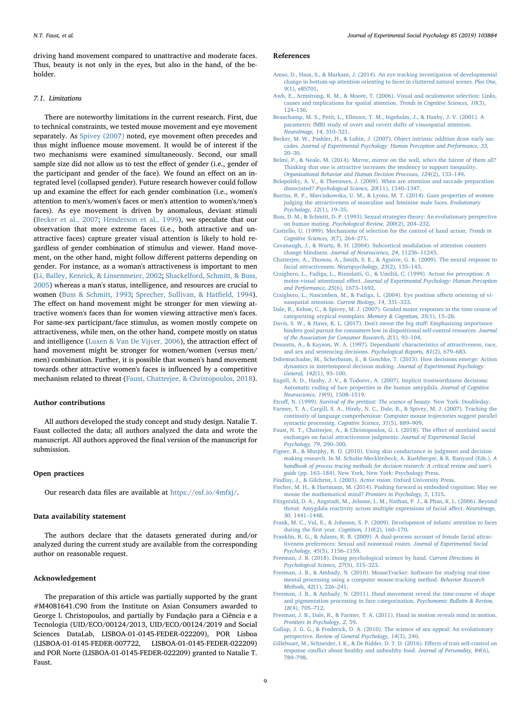driving hand movement compared to unattractive and moderate faces. Thus, beauty is not only in the eyes, but also in the hand, of the beholder.

# 7.1. Limitations

There are noteworthy limitations in the current research. First, due to technical constraints, we tested mouse movement and eye movement separately. As [Spivey \(2007\)](#page-9-35) noted, eye movement often precedes and thus might influence mouse movement. It would be of interest if the two mechanisms were examined simultaneously. Second, our small sample size did not allow us to test the effect of gender (i.e., gender of the participant and gender of the face). We found an effect on an integrated level (collapsed gender). Future research however could follow up and examine the effect for each gender combination (i.e., women's attention to men's/women's faces or men's attention to women's/men's faces). As eye movement is driven by anomalous, deviant stimuli ([Becker et al., 2007](#page-8-27); [Henderson et al., 1999](#page-9-51)), we speculate that our observation that more extreme faces (i.e., both attractive and unattractive faces) capture greater visual attention is likely to hold regardless of gender combination of stimulus and viewer. Hand movement, on the other hand, might follow different patterns depending on gender. For instance, as a woman's attractiveness is important to men ([Li, Balley, Kenrick, & Linsenmeier, 2002;](#page-9-63) [Shackelford, Schmitt, & Buss,](#page-9-64) [2005\)](#page-9-64) whereas a man's status, intelligence, and resources are crucial to women ([Buss & Schmitt, 1993](#page-8-31); [Sprecher, Sullivan, & Hat](#page-9-65)field, 1994). The effect on hand movement might be stronger for men viewing attractive women's faces than for women viewing attractive men's faces. For same-sex participant/face stimulus, as women mostly compete on attractiveness, while men, on the other hand, compete mostly on status and intelligence [\(Luxen & Van De Vijver, 2006](#page-9-7)), the attraction effect of hand movement might be stronger for women/women (versus men/ men) combination. Further, it is possible that women's hand movement towards other attractive women's faces is influenced by a competitive mechanism related to threat [\(Faust, Chatterjee, & Christopoulos, 2018](#page-8-32)).

### Author contributions

All authors developed the study concept and study design. Natalie T. Faust collected the data; all authors analyzed the data and wrote the manuscript. All authors approved the final version of the manuscript for submission.

### Open practices

Our research data files are available at <https://osf.io/4mfxj/>.

# Data availability statement

The authors declare that the datasets generated during and/or analyzed during the current study are available from the corresponding author on reasonable request.

# Acknowledgement

The preparation of this article was partially supported by the grant #M4081641.C90 from the Institute on Asian Consumers awarded to George I. Christopoulos, and partially by Fundação para a Ciência e a Tecnologia (UID/ECO/00124/2013, UID/ECO/00124/2019 and Social Sciences DataLab, LISBOA-01-0145-FEDER-022209), POR Lisboa (LISBOA-01-0145-FEDER-007722, LISBOA-01-0145-FEDER-022209) and POR Norte (LISBOA-01-0145-FEDER-022209) granted to Natalie T. Faust.

# References

- <span id="page-8-12"></span>[Amso, D., Haas, S., & Markant, J. \(2014\). An eye tracking investigation of developmental](http://refhub.elsevier.com/S0022-1031(19)30058-7/rf0005) [change in bottom-up attention orienting to faces in cluttered natural scenes.](http://refhub.elsevier.com/S0022-1031(19)30058-7/rf0005) Plos One, 9[\(1\), e85701](http://refhub.elsevier.com/S0022-1031(19)30058-7/rf0005).
- <span id="page-8-8"></span>[Awh, E., Armstrong, K. M., & Moore, T. \(2006\). Visual and oculomotor selection: Links,](http://refhub.elsevier.com/S0022-1031(19)30058-7/rf0010) [causes and implications for spatial attention.](http://refhub.elsevier.com/S0022-1031(19)30058-7/rf0010) Trends in Cognitive Sciences, 10(3), 124–[130](http://refhub.elsevier.com/S0022-1031(19)30058-7/rf0010).
- <span id="page-8-5"></span>[Beauchamp, M. S., Petit, L., Ellmore, T. M., Ingeholm, J., & Haxby, J. V. \(2001\). A](http://refhub.elsevier.com/S0022-1031(19)30058-7/rf0015) [parametric fMRI study of overt and covert shifts of visuospatial attention.](http://refhub.elsevier.com/S0022-1031(19)30058-7/rf0015) [NeuroImage, 14](http://refhub.elsevier.com/S0022-1031(19)30058-7/rf0015), 310–321.
- <span id="page-8-27"></span>[Becker, M. W., Pashler, H., & Lubin, J. \(2007\). Object intrinsic oddities draw early sac](http://refhub.elsevier.com/S0022-1031(19)30058-7/rf0020)cades. [Journal of Experimental Psychology: Human Perception and Performance, 33](http://refhub.elsevier.com/S0022-1031(19)30058-7/rf0020), 20–[30](http://refhub.elsevier.com/S0022-1031(19)30058-7/rf0020).
- <span id="page-8-2"></span>[Belmi, P., & Neale, M. \(2014\). Mirror, mirror on the wall, who's the fairest of them all?](http://refhub.elsevier.com/S0022-1031(19)30058-7/rf0025) [Thinking that one is attractive increases the tendency to support inequality.](http://refhub.elsevier.com/S0022-1031(19)30058-7/rf0025) [Organizational Behavior and Human Decision Processes, 124](http://refhub.elsevier.com/S0022-1031(19)30058-7/rf0025)(2), 133–149.
- <span id="page-8-6"></span>[Belopolsky, A. V., & Theeuwes, J. \(2009\). When are attention and saccade preparation](http://refhub.elsevier.com/S0022-1031(19)30058-7/rf0030) dissociated? [Psychological Science, 20](http://refhub.elsevier.com/S0022-1031(19)30058-7/rf0030)(11), 1340–1347.
- <span id="page-8-14"></span>[Burriss, R. P., Marcinkowska, U. M., & Lyons, M. T. \(2014\). Gaze properties of women](http://refhub.elsevier.com/S0022-1031(19)30058-7/rf0035) [judging the attractiveness of masculine and feminine male faces.](http://refhub.elsevier.com/S0022-1031(19)30058-7/rf0035) Evolutionary [Psychology, 12](http://refhub.elsevier.com/S0022-1031(19)30058-7/rf0035)(1), 19–35.
- <span id="page-8-31"></span>[Buss, D. M., & Schmitt, D. P. \(1993\). Sexual strategies theory: An evolutionary perspective](http://refhub.elsevier.com/S0022-1031(19)30058-7/rf0040) on human mating. [Psychological Review, 200](http://refhub.elsevier.com/S0022-1031(19)30058-7/rf0040)(2), 204–232.
- <span id="page-8-16"></span>[Castiello, U. \(1999\). Mechanisms of selection for the control of hand action.](http://refhub.elsevier.com/S0022-1031(19)30058-7/rf0045) Trends in [Cognitive Sciences, 3](http://refhub.elsevier.com/S0022-1031(19)30058-7/rf0045)(7), 264–271.
- <span id="page-8-11"></span>[Cavanaugh, J., & Wurtz, R. H. \(2004\). Subcortical modulation of attention counters](http://refhub.elsevier.com/S0022-1031(19)30058-7/rf0050) change blindness. [Journal of Neuroscience, 24](http://refhub.elsevier.com/S0022-1031(19)30058-7/rf0050), 11236–11243.
- <span id="page-8-21"></span>[Chatterjee, A., Thomas, A., Smith, S. E., & Aguirre, G. K. \(2009\). The neural response to](http://refhub.elsevier.com/S0022-1031(19)30058-7/rf0055) [facial attractiveness.](http://refhub.elsevier.com/S0022-1031(19)30058-7/rf0055) Neuropsychology, 23(2), 135–143.
- <span id="page-8-9"></span>[Craighero, L., Fadiga, L., Rizzolatti, G., & Umiltà, C. \(1999\). Action for perception: A](http://refhub.elsevier.com/S0022-1031(19)30058-7/rf0060) motor-visual attentional effect. [Journal of Experimental Psychology: Human Perception](http://refhub.elsevier.com/S0022-1031(19)30058-7/rf0060) [and Performance, 25](http://refhub.elsevier.com/S0022-1031(19)30058-7/rf0060)(6), 1673–1692.
- <span id="page-8-10"></span>[Craighero, L., Nascimben, M., & Fadiga, L. \(2004\). Eye position a](http://refhub.elsevier.com/S0022-1031(19)30058-7/rf0065)ffects orienting of vi[suospatial attention.](http://refhub.elsevier.com/S0022-1031(19)30058-7/rf0065) Current Biology, 14, 331–333.
- <span id="page-8-17"></span>[Dale, R., Kehoe, C., & Spivey, M. J. \(2007\). Graded motor responses in the time course of](http://refhub.elsevier.com/S0022-1031(19)30058-7/rf0070) [categorizing atypical exemplars.](http://refhub.elsevier.com/S0022-1031(19)30058-7/rf0070) Memory & Cognition, 35(1), 15–28.
- <span id="page-8-26"></span>Davis, [S. W., & Haws, K. L. \(2017\). Don't sweat the big stu](http://refhub.elsevier.com/S0022-1031(19)30058-7/rf0075)ff: Emphasizing importance [hinders goal pursuit for consumers low in dispositional self-control resources.](http://refhub.elsevier.com/S0022-1031(19)30058-7/rf0075) Journal [of the Association for Consumer Research, 2](http://refhub.elsevier.com/S0022-1031(19)30058-7/rf0075)(1), 93–104.
- <span id="page-8-18"></span>[Desantts, A., & Kayson, W. A. \(1997\). Dependants' characteristics of attractiveness, race,](http://refhub.elsevier.com/S0022-1031(19)30058-7/rf0080) [and sex and sentencing decisions.](http://refhub.elsevier.com/S0022-1031(19)30058-7/rf0080) Psychological Reports, 81(2), 679–683.
- <span id="page-8-23"></span>[Dshemuchadse, M., Scherbaum, S., & Goschke, T. \(2013\). How decisions emerge: Action](http://refhub.elsevier.com/S0022-1031(19)30058-7/rf0085) [dynamics in intertemporal decision making.](http://refhub.elsevier.com/S0022-1031(19)30058-7/rf0085) Journal of Experimental Psychology: [General, 142](http://refhub.elsevier.com/S0022-1031(19)30058-7/rf0085)(1), 93–100.
- <span id="page-8-0"></span>[Engell, A. D., Haxby, J. V., & Todorov, A. \(2007\). Implicit trustworthiness decisions:](http://refhub.elsevier.com/S0022-1031(19)30058-7/rf0090) [Automatic coding of face properties in the human amygdala.](http://refhub.elsevier.com/S0022-1031(19)30058-7/rf0090) Journal of Cognitive [Neuroscience, 19](http://refhub.elsevier.com/S0022-1031(19)30058-7/rf0090)(9), 1508–1519.

<span id="page-8-19"></span>Etcoff, N. (1999). [Survival of the prettiest: The science of beauty.](http://refhub.elsevier.com/S0022-1031(19)30058-7/rf6000) New York: Doubleday.

- <span id="page-8-15"></span>[Farmer, T. A., Cargill, S. A., Hindy, N. C., Dale, R., & Spivey, M. J. \(2007\). Tracking the](http://refhub.elsevier.com/S0022-1031(19)30058-7/rf0095) [continuity of language comprehension: Computer mouse trajectories suggest parallel](http://refhub.elsevier.com/S0022-1031(19)30058-7/rf0095) [syntactic processing.](http://refhub.elsevier.com/S0022-1031(19)30058-7/rf0095) Cognitive Science, 31(5), 889–909.
- <span id="page-8-32"></span>[Faust, N. T., Chatterjee, A., & Christopoulos, G. I. \(2018\). The e](http://refhub.elsevier.com/S0022-1031(19)30058-7/rf0100)ffect of unrelated social [exchanges on facial attractiveness judgments.](http://refhub.elsevier.com/S0022-1031(19)30058-7/rf0100) Journal of Experimental Social [Psychology, 79](http://refhub.elsevier.com/S0022-1031(19)30058-7/rf0100), 290–300.
- <span id="page-8-30"></span>[Figner, B., & Murphy, R. O. \(2010\). Using skin conductance in judgment and decision](http://refhub.elsevier.com/S0022-1031(19)30058-7/rf0105) [making research. In M. Schulte-Mecklenbeck, A. Kuehberger, & R. Ranyard \(Eds.\).](http://refhub.elsevier.com/S0022-1031(19)30058-7/rf0105) A [handbook of process tracing methods for decision research: A critical review and user's](http://refhub.elsevier.com/S0022-1031(19)30058-7/rf0105) guide (pp. 163–[184\). New York, New York: Psychology Press.](http://refhub.elsevier.com/S0022-1031(19)30058-7/rf0105)
- <span id="page-8-7"></span>[Findlay, J., & Gilchrist, I. \(2003\).](http://refhub.elsevier.com/S0022-1031(19)30058-7/rf0110) Active vision. Oxford University Press.
- <span id="page-8-22"></span>[Fischer, M. H., & Hartmann, M. \(2014\). Pushing forward in embodied cognition: May we](http://refhub.elsevier.com/S0022-1031(19)30058-7/rf0115) [mouse the mathematical mind?](http://refhub.elsevier.com/S0022-1031(19)30058-7/rf0115) Frontiers in Psychology, 5, 1315.
- <span id="page-8-28"></span>[Fitzgerald, D. A., Angstadt, M., Jelsone, L. M., Nathan, P. J., & Phan, K. L. \(2006\). Beyond](http://refhub.elsevier.com/S0022-1031(19)30058-7/rf0120) [threat: Amygdala reactivity across multiple expressions of facial a](http://refhub.elsevier.com/S0022-1031(19)30058-7/rf0120)ffect. NeuroImage, 30[, 1441](http://refhub.elsevier.com/S0022-1031(19)30058-7/rf0120)–1448.
- <span id="page-8-13"></span>[Frank, M. C., Vul, E., & Johnson, S. P. \(2009\). Development of infants' attention to faces](http://refhub.elsevier.com/S0022-1031(19)30058-7/rf0125) during the first year. [Cognition, 110](http://refhub.elsevier.com/S0022-1031(19)30058-7/rf0125)(2), 160–170.
- <span id="page-8-1"></span>[Franklin, R. G., & Adams, R. B. \(2009\). A dual-process account of female facial attrac](http://refhub.elsevier.com/S0022-1031(19)30058-7/rf0130)[tiveness preferences: Sexual and nonsexual routes.](http://refhub.elsevier.com/S0022-1031(19)30058-7/rf0130) Journal of Experimental Social [Psychology, 45](http://refhub.elsevier.com/S0022-1031(19)30058-7/rf0130)(5), 1156–1159.
- <span id="page-8-3"></span>[Freeman, J. B. \(2018\). Doing psychological science by hand.](http://refhub.elsevier.com/S0022-1031(19)30058-7/rf0135) Current Directions in [Psychological Science, 27](http://refhub.elsevier.com/S0022-1031(19)30058-7/rf0135)(5), 315–323.
- <span id="page-8-29"></span>[Freeman, J. B., & Ambady, N. \(2010\). MouseTracker: Software for studying real-time](http://refhub.elsevier.com/S0022-1031(19)30058-7/rf0140) [mental processing using a computer mouse-tracking method.](http://refhub.elsevier.com/S0022-1031(19)30058-7/rf0140) Behavior Research [Methods, 42](http://refhub.elsevier.com/S0022-1031(19)30058-7/rf0140)(1), 226–241.
- <span id="page-8-4"></span>[Freeman, J. B., & Ambady, N. \(2011\). Hand movement reveal the time-course of shape](http://refhub.elsevier.com/S0022-1031(19)30058-7/rf0145) [and pigmentation processing in face categorization.](http://refhub.elsevier.com/S0022-1031(19)30058-7/rf0145) Psychonomic Bulletin & Review, 18[\(4\), 705](http://refhub.elsevier.com/S0022-1031(19)30058-7/rf0145)–712.
- <span id="page-8-25"></span>[Freeman, J. B., Dale, R., & Farmer, T. A. \(2011\). Hand in motion reveals mind in motion.](http://refhub.elsevier.com/S0022-1031(19)30058-7/rf0150) [Frontiers in Psychology, 2](http://refhub.elsevier.com/S0022-1031(19)30058-7/rf0150), 59.
- <span id="page-8-20"></span>[Gallup, J. G. G., & Frederick, D. A. \(2010\). The science of sex appeal: An evolutionary](http://refhub.elsevier.com/S0022-1031(19)30058-7/rf0155) perspective. [Review of General Psychology, 14](http://refhub.elsevier.com/S0022-1031(19)30058-7/rf0155)(3), 240.
- <span id="page-8-24"></span>[Gillebaart, M., Schneider, I. K., & De Ridder, D. T. D. \(2016\). E](http://refhub.elsevier.com/S0022-1031(19)30058-7/rf0160)ffects of trait self-control on response confl[ict about healthy and unhealthy food.](http://refhub.elsevier.com/S0022-1031(19)30058-7/rf0160) Journal of Personality, 84(6), 789–[798](http://refhub.elsevier.com/S0022-1031(19)30058-7/rf0160).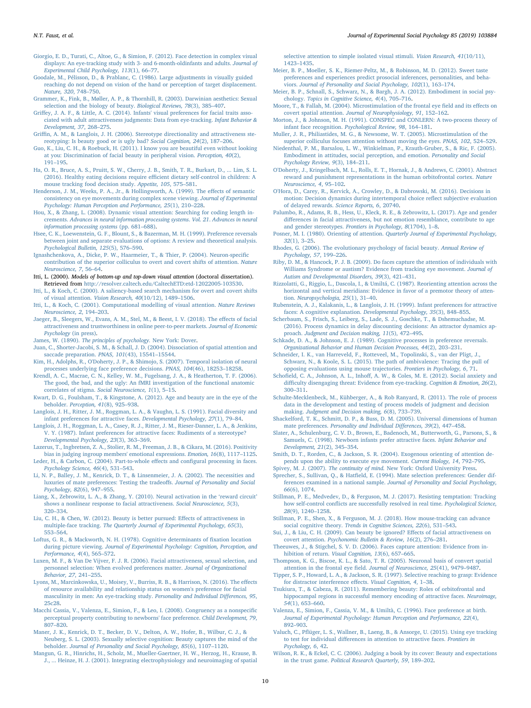<span id="page-9-26"></span>[Giorgio, E. D., Turati, C., Altoe, G., & Simion, F. \(2012\). Face detection in complex visual](http://refhub.elsevier.com/S0022-1031(19)30058-7/rf0165) [displays: An eye-tracking study with 3- and 6-month-oldinfants and adults.](http://refhub.elsevier.com/S0022-1031(19)30058-7/rf0165) Journal of [Experimental Child Psychology, 113](http://refhub.elsevier.com/S0022-1031(19)30058-7/rf0165)(1), 66–77.

- <span id="page-9-33"></span>[Goodale, M., Pélisson, D., & Prablanc, C. \(1986\). Large adjustments in visually guided](http://refhub.elsevier.com/S0022-1031(19)30058-7/rf0170) [reaching do not depend on vision of the hand or perception of target displacement.](http://refhub.elsevier.com/S0022-1031(19)30058-7/rf0170) [Nature, 320](http://refhub.elsevier.com/S0022-1031(19)30058-7/rf0170), 748–750.
- <span id="page-9-38"></span>[Grammer, K., Fink, B., Møller, A. P., & Thornhill, R. \(2003\). Darwinian aesthetics: Sexual](http://refhub.elsevier.com/S0022-1031(19)30058-7/rf0175) [selection and the biology of beauty.](http://refhub.elsevier.com/S0022-1031(19)30058-7/rf0175) Biological Reviews, 78(3), 385–407.
- <span id="page-9-30"></span>Griff[ey, J. A. F., & Little, A. C. \(2014\). Infants' visual preferences for facial traits asso](http://refhub.elsevier.com/S0022-1031(19)30058-7/rf0180)[ciated with adult attractiveness judgments: Data from eye-tracking.](http://refhub.elsevier.com/S0022-1031(19)30058-7/rf0180) Infant Behavior & [Development, 37](http://refhub.elsevier.com/S0022-1031(19)30058-7/rf0180), 268–275.
- <span id="page-9-56"></span>Griffi[n, A. M., & Langlois, J. H. \(2006\). Stereotype directionality and attractiveness ste](http://refhub.elsevier.com/S0022-1031(19)30058-7/rf0185)[reotyping: Is beauty good or is ugly bad?](http://refhub.elsevier.com/S0022-1031(19)30058-7/rf0185) Social Cognition, 24(2), 187–206.
- <span id="page-9-11"></span>[Guo, K., Liu, C. H., & Roebuck, H. \(2011\). I know you are beautiful even without looking](http://refhub.elsevier.com/S0022-1031(19)30058-7/rf0190) [at you: Discrimination of facial beauty in peripheral vision.](http://refhub.elsevier.com/S0022-1031(19)30058-7/rf0190) Perception, 40(2), 191–[195](http://refhub.elsevier.com/S0022-1031(19)30058-7/rf0190).
- <span id="page-9-42"></span>[Ha, O. R., Bruce, A. S., Pruitt, S. W., Cherry, J. B., Smith, T. R., Burkart, D., ... Lim, S. L.](http://refhub.elsevier.com/S0022-1031(19)30058-7/rf0195) [\(2016\). Healthy eating decisions require e](http://refhub.elsevier.com/S0022-1031(19)30058-7/rf0195)fficient dietary self-control in children: A [mouse tracking food decision study.](http://refhub.elsevier.com/S0022-1031(19)30058-7/rf0195) Appetite, 105, 575–581.
- <span id="page-9-51"></span>[Henderson, J. M., Weeks, P. A., Jr., & Hollingworth, A. \(1999\). The e](http://refhub.elsevier.com/S0022-1031(19)30058-7/rf0200)ffects of semantic [consistency on eye movements during complex scene viewing.](http://refhub.elsevier.com/S0022-1031(19)30058-7/rf0200) Journal of Experimental [Psychology: Human Perception and Performance, 25](http://refhub.elsevier.com/S0022-1031(19)30058-7/rf0200)(1), 210–228.
- <span id="page-9-50"></span>[Hou, X., & Zhang, L. \(2008\). Dynamic visual attention: Searching for coding length in](http://refhub.elsevier.com/S0022-1031(19)30058-7/rf0205)crements. [Advances in neural information processing systems](http://refhub.elsevier.com/S0022-1031(19)30058-7/rf0205). Vol. 21. Advances in neural [information processing systems](http://refhub.elsevier.com/S0022-1031(19)30058-7/rf0205) (pp. 681–688).
- <span id="page-9-57"></span>[Hsee, C. K., Loewenstein, G. F., Blount, S., & Bazerman, M. H. \(1999\). Preference reversals](http://refhub.elsevier.com/S0022-1031(19)30058-7/rf0210) [between joint and separate evaluations of options: A review and theoretical analysis.](http://refhub.elsevier.com/S0022-1031(19)30058-7/rf0210) [Psychological Bulletin, 125](http://refhub.elsevier.com/S0022-1031(19)30058-7/rf0210)(5), 576–590.
- <span id="page-9-19"></span>[Ignashchenkova, A., Dicke, P. W., Haarmeier, T., & Thier, P. \(2004\). Neuron-speci](http://refhub.elsevier.com/S0022-1031(19)30058-7/rf0215)fic [contribution of the superior colliculus to overt and covert shifts of attention.](http://refhub.elsevier.com/S0022-1031(19)30058-7/rf0215) Nature [Neuroscience, 7](http://refhub.elsevier.com/S0022-1031(19)30058-7/rf0215), 56–64.
- <span id="page-9-53"></span>Itti, L. (2000). Models of bottom-up and top-down visual attention (doctoral dissertation). Retrieved from [http://resolver.caltech.edu/CaltechETD:etd-12022005-103530.](http://resolver.caltech.edu/CaltechETD:etd-12022005-103530)
- <span id="page-9-54"></span>Itti, [L., & Koch, C. \(2000\). A saliency-based search mechanism for overt and covert shifts](http://refhub.elsevier.com/S0022-1031(19)30058-7/rf0225) of visual attention. [Vision Research, 40](http://refhub.elsevier.com/S0022-1031(19)30058-7/rf0225)(10/12), 1489–1506.
- [Itti, L., & Koch, C. \(2001\). Computational modelling of visual attention.](http://refhub.elsevier.com/S0022-1031(19)30058-7/rf0230) Nature Reviews [Neuroscience, 2](http://refhub.elsevier.com/S0022-1031(19)30058-7/rf0230), 194–203.
- <span id="page-9-36"></span>[Jaeger, B., Sleegers, W., Evans, A. M., Stel, M., & Beest, I. V. \(2018\). The e](http://refhub.elsevier.com/S0022-1031(19)30058-7/rf0235)ffects of facial [attractiveness and trustworthiness in online peer-to-peer markets.](http://refhub.elsevier.com/S0022-1031(19)30058-7/rf0235) Journal of Economic [Psychology](http://refhub.elsevier.com/S0022-1031(19)30058-7/rf0235) (in press).
- <span id="page-9-15"></span>James, W. (1890). [The principles of psychology.](http://refhub.elsevier.com/S0022-1031(19)30058-7/rf0240) New York: Dover.
- <span id="page-9-20"></span>[Juan, C., Shorter-Jacobi, S. M., & Schall, J. D. \(2004\). Dissociation of spatial attention and](http://refhub.elsevier.com/S0022-1031(19)30058-7/rf0245) [saccade preparation.](http://refhub.elsevier.com/S0022-1031(19)30058-7/rf0245) PNAS, 101(43), 15541–15544.
- <span id="page-9-41"></span>[Kim, H., Adolphs, R., O'Doherty, J. P., & Shimojo, S. \(2007\). Temporal isolation of neural](http://refhub.elsevier.com/S0022-1031(19)30058-7/rf0250) [processes underlying face preference decisions.](http://refhub.elsevier.com/S0022-1031(19)30058-7/rf0250) PNAS, 104(46), 18253–18258.
- <span id="page-9-55"></span>[Krendl, A. C., Macrae, C. N., Kelley, W. M., Fugelsang, J. A., & Heatherton, T. F. \(2006\).](http://refhub.elsevier.com/S0022-1031(19)30058-7/rf0255) [The good, the bad, and the ugly: An fMRI investigation of the functional anatomic](http://refhub.elsevier.com/S0022-1031(19)30058-7/rf0255) correlates of stigma. [Social Neuroscience, 1](http://refhub.elsevier.com/S0022-1031(19)30058-7/rf0255)(1), 5–15.
- <span id="page-9-31"></span>[Kwart, D. G., Foulsham, T., & Kingstone, A. \(2012\). Age and beauty are in the eye of the](http://refhub.elsevier.com/S0022-1031(19)30058-7/rf0260) beholder. [Perception, 41](http://refhub.elsevier.com/S0022-1031(19)30058-7/rf0260)(8), 925–938.
- <span id="page-9-37"></span>[Langlois, J. H., Ritter, J. M., Roggman, L. A., & Vaughn, L. S. \(1991\). Facial diversity and](http://refhub.elsevier.com/S0022-1031(19)30058-7/rf0265) [infant preferences for attractive faces.](http://refhub.elsevier.com/S0022-1031(19)30058-7/rf0265) Developmental Psychology, 27(1), 79–84.
- <span id="page-9-5"></span>[Langlois, J. H., Roggman, L. A., Casey, R. J., Ritter, J. M., Rieser-Danner, L. A., & Jenkins,](http://refhub.elsevier.com/S0022-1031(19)30058-7/rf0270) [V. Y. \(1987\). Infant preferences for attractive faces: Rudiments of a stereotype?](http://refhub.elsevier.com/S0022-1031(19)30058-7/rf0270) [Developmental Psychology, 23](http://refhub.elsevier.com/S0022-1031(19)30058-7/rf0270)(3), 363–369.
- <span id="page-9-47"></span>[Lazerus, T., Ingbretsen, Z. A., Stolier, R. M., Freeman, J. B., & Cikara, M. \(2016\). Positivity](http://refhub.elsevier.com/S0022-1031(19)30058-7/rf0275) [bias in judging ingroup members' emotional expressions.](http://refhub.elsevier.com/S0022-1031(19)30058-7/rf0275) Emotion, 16(8), 1117–1125.
- <span id="page-9-0"></span>[Leder, H., & Carbon, C. \(2004\). Part-to-whole e](http://refhub.elsevier.com/S0022-1031(19)30058-7/rf0280)ffects and configural processing in faces. [Psychology Science, 46](http://refhub.elsevier.com/S0022-1031(19)30058-7/rf0280)(4), 531–543.
- <span id="page-9-63"></span>[Li, N. P., Balley, J. M., Kenrick, D. T., & Linsenmeier, J. A. \(2002\). The necessities and](http://refhub.elsevier.com/S0022-1031(19)30058-7/rf0285) [luxuries of mate preferences: Testing the tradeo](http://refhub.elsevier.com/S0022-1031(19)30058-7/rf0285)ffs. Journal of Personality and Social [Psychology, 82](http://refhub.elsevier.com/S0022-1031(19)30058-7/rf0285)(6), 947–955.
- <span id="page-9-4"></span>[Liang, X., Zebrowitz, L. A., & Zhang, Y. \(2010\). Neural activation in the](http://refhub.elsevier.com/S0022-1031(19)30058-7/rf0290) 'reward circuit' shows [a nonlinear response to facial attractiveness.](http://refhub.elsevier.com/S0022-1031(19)30058-7/rf0290) Social Neuroscience, 5(3), 320–[334](http://refhub.elsevier.com/S0022-1031(19)30058-7/rf0290).
- <span id="page-9-48"></span>[Liu, C. H., & Chen, W. \(2012\). Beauty is better pursued: E](http://refhub.elsevier.com/S0022-1031(19)30058-7/rf0295)ffects of attractiveness in multiple-face tracking. [The Quarterly Journal of Experimental Psychology, 65](http://refhub.elsevier.com/S0022-1031(19)30058-7/rf0295)(3), 553–[564](http://refhub.elsevier.com/S0022-1031(19)30058-7/rf0295).
- <span id="page-9-52"></span>[Loftus, G. R., & Mackworth, N. H. \(1978\). Cognitive determinants of](http://refhub.elsevier.com/S0022-1031(19)30058-7/rf0300) fixation location during picture viewing. [Journal of Experimental Psychology: Cognition, Perception, and](http://refhub.elsevier.com/S0022-1031(19)30058-7/rf0300) [Performance, 4](http://refhub.elsevier.com/S0022-1031(19)30058-7/rf0300)(4), 565–572.
- <span id="page-9-7"></span>[Luxen, M. F., & Van De Vijver, F. J. R. \(2006\). Facial attractiveness, sexual selection, and](http://refhub.elsevier.com/S0022-1031(19)30058-7/rf0305) [personnel selection: When evolved preferences matter.](http://refhub.elsevier.com/S0022-1031(19)30058-7/rf0305) Journal of Organizational [Behavior, 27](http://refhub.elsevier.com/S0022-1031(19)30058-7/rf0305), 241–255.
- <span id="page-9-29"></span>[Lyons, M., Marcinkowska, U., Moisey, V., Burriss, R. B., & Harrison, N. \(2016\). The e](http://refhub.elsevier.com/S0022-1031(19)30058-7/rf0310)ffects [of resource availability and relationship status on women's preference for facial](http://refhub.elsevier.com/S0022-1031(19)30058-7/rf0310) [masculinity in men: An eye-tracking study.](http://refhub.elsevier.com/S0022-1031(19)30058-7/rf0310) Personality and Individual Differences, 95, [25c28.](http://refhub.elsevier.com/S0022-1031(19)30058-7/rf0310)
- <span id="page-9-1"></span>[Macchi Cassia, V., Valenza, E., Simion, F., & Leo, I. \(2008\). Congruency as a nonspeci](http://refhub.elsevier.com/S0022-1031(19)30058-7/rf0315)fic [perceptual property contributing to newborns' face preference.](http://refhub.elsevier.com/S0022-1031(19)30058-7/rf0315) Child Development, 79, 807–[820](http://refhub.elsevier.com/S0022-1031(19)30058-7/rf0315).
- <span id="page-9-12"></span>[Maner, J. K., Kenrick, D. T., Becker, D. V., Delton, A. W., Hofer, B., Wilbur, C. J., &](http://refhub.elsevier.com/S0022-1031(19)30058-7/rf0320) [Neuberg, S. L. \(2003\). Sexually selective cognition: Beauty captures the mind of the](http://refhub.elsevier.com/S0022-1031(19)30058-7/rf0320) beholder. [Journal of Personality and Social Psychology, 85](http://refhub.elsevier.com/S0022-1031(19)30058-7/rf0320)(6), 1107–1120.
- <span id="page-9-16"></span>[Mangun, G. R., Hinrichs, H., Scholz, M., Mueller-Gaertner, H. W., Herzog, H., Krause, B.](http://refhub.elsevier.com/S0022-1031(19)30058-7/rf0325) [J., ... Heinze, H. J. \(2001\). Integrating electrophysiology and neuroimaging of spatial](http://refhub.elsevier.com/S0022-1031(19)30058-7/rf0325)

[selective attention to simple isolated visual stimuli.](http://refhub.elsevier.com/S0022-1031(19)30058-7/rf0325) Vision Research, 41(10/11), 1423–[1435](http://refhub.elsevier.com/S0022-1031(19)30058-7/rf0325).

- <span id="page-9-60"></span>[Meier, B. P., Moeller, S. K., Riemer-Peltz, M., & Robinson, M. D. \(2012\). Sweet taste](http://refhub.elsevier.com/S0022-1031(19)30058-7/rf0330) [preferences and experiences predict prosocial inferences, personalities, and beha](http://refhub.elsevier.com/S0022-1031(19)30058-7/rf0330)viors. [Journal of Personality and Social Psychology, 102](http://refhub.elsevier.com/S0022-1031(19)30058-7/rf0330)(1), 163–174.
- <span id="page-9-61"></span>[Meier, B. P., Schnall, S., Schwarz, N., & Bargh, J. A. \(2012\). Embodiment in social psy](http://refhub.elsevier.com/S0022-1031(19)30058-7/rf0335)chology. [Topics in Cognitive Science, 4](http://refhub.elsevier.com/S0022-1031(19)30058-7/rf0335)(4), 705–716.
- <span id="page-9-24"></span>[Moore, T., & Fallah, M. \(2004\). Microstimulation of the frontal eye](http://refhub.elsevier.com/S0022-1031(19)30058-7/rf0340) field and its effects on covert spatial attention. [Journal of Neurophysiology, 91](http://refhub.elsevier.com/S0022-1031(19)30058-7/rf0340), 152–162.
- <span id="page-9-2"></span>[Morton, J., & Johnson, M. H. \(1991\). CONSPEC and CONLERN: A two-process theory of](http://refhub.elsevier.com/S0022-1031(19)30058-7/rf0345) infant face recognition. [Psychological Review, 98](http://refhub.elsevier.com/S0022-1031(19)30058-7/rf0345), 164–181.
- <span id="page-9-25"></span>[Muller, J. R., Philiastides, M. G., & Newsome, W. T. \(2005\). Microstimulation of the](http://refhub.elsevier.com/S0022-1031(19)30058-7/rf0350) [superior colliculus focuses attention without moving the eyes.](http://refhub.elsevier.com/S0022-1031(19)30058-7/rf0350) PNAS, 102, 524–529.
- <span id="page-9-62"></span>[Niedenthal, P. M., Barsalou, L. W., Winkielman, P., Krauth-Gruber, S., & Ric, F. \(2005\).](http://refhub.elsevier.com/S0022-1031(19)30058-7/rf0355) [Embodiment in attitudes, social perception, and emotion.](http://refhub.elsevier.com/S0022-1031(19)30058-7/rf0355) Personality and Social [Psychology Review, 9](http://refhub.elsevier.com/S0022-1031(19)30058-7/rf0355)(3), 184–211.
- <span id="page-9-40"></span>[O'Doherty, J., Kringelbach, M. L., Rolls, E. T., Hornak, J., & Andrews, C. \(2001\). Abstract](http://refhub.elsevier.com/S0022-1031(19)30058-7/rf0360) [reward and punishment representations in the human orbitofrontal cortex.](http://refhub.elsevier.com/S0022-1031(19)30058-7/rf0360) Nature [Neuroscience, 4](http://refhub.elsevier.com/S0022-1031(19)30058-7/rf0360), 95–102.
- <span id="page-9-43"></span>[O'Hora, D., Carey, R., Kervick, A., Crowley, D., & Dabrowski, M. \(2016\). Decisions in](http://refhub.elsevier.com/S0022-1031(19)30058-7/rf0365) [motion: Decision dynamics during intertemporal choice re](http://refhub.elsevier.com/S0022-1031(19)30058-7/rf0365)flect subjective evaluation [of delayed rewards.](http://refhub.elsevier.com/S0022-1031(19)30058-7/rf0365) Science Reports, 6, 20740.
- <span id="page-9-10"></span>[Palumbo, R., Adams, R. B., Hess, U., Kleck, R. E., & Zebrowitz, L. \(2017\). Age and gender](http://refhub.elsevier.com/S0022-1031(19)30058-7/rf0370) diff[erences in facial attractiveness, but not emotion resemblance, contribute to age](http://refhub.elsevier.com/S0022-1031(19)30058-7/rf0370) and gender stereotypes. [Frontiers in Psychology, 8](http://refhub.elsevier.com/S0022-1031(19)30058-7/rf0370)(1704), 1–8.
- <span id="page-9-17"></span>Posner, M. I. (1980). Orienting of attention. [Quarterly Journal of Experimental Psychology,](http://refhub.elsevier.com/S0022-1031(19)30058-7/rf0375) 32[\(1\), 3](http://refhub.elsevier.com/S0022-1031(19)30058-7/rf0375)–25.
- <span id="page-9-39"></span>[Rhodes, G. \(2006\). The evolutionary psychology of facial beauty.](http://refhub.elsevier.com/S0022-1031(19)30058-7/rf6050) Annual Review of [Psychology, 57](http://refhub.elsevier.com/S0022-1031(19)30058-7/rf6050), 199–226.
- <span id="page-9-27"></span>[Riby, D. M., & Hancock, P. J. B. \(2009\). Do faces capture the attention of individuals with](http://refhub.elsevier.com/S0022-1031(19)30058-7/rf0380) [Williams Syndrome or austism? Evidence from tracking eye movement.](http://refhub.elsevier.com/S0022-1031(19)30058-7/rf0380) Journal of [Autism and Developmental Disorders, 39](http://refhub.elsevier.com/S0022-1031(19)30058-7/rf0380)(3), 421–431.
- <span id="page-9-22"></span>[Rizzolatti, G., Riggio, L., Dascola, I., & Umiltá, C. \(1987\). Reorienting attention across the](http://refhub.elsevier.com/S0022-1031(19)30058-7/rf0385) [horizontal and vertical meridians: Evidence in favor of a premotor theory of atten](http://refhub.elsevier.com/S0022-1031(19)30058-7/rf0385)tion. [Neuropsychologia, 25](http://refhub.elsevier.com/S0022-1031(19)30058-7/rf0385)(1), 31–40.
- <span id="page-9-6"></span>[Rubenstein, A. J., Kalakanis, L., & Langlois, J. H. \(1999\). Infant preferences for attractive](http://refhub.elsevier.com/S0022-1031(19)30058-7/rf0390) [faces: A cognitive explanation.](http://refhub.elsevier.com/S0022-1031(19)30058-7/rf0390) Developmental Psychology, 35(3), 848–855.
- <span id="page-9-44"></span>[Scherbaum, S., Frisch, S., Leiberg, S., Lade, S. J., Goschke, T., & Dshemuchadse, M.](http://refhub.elsevier.com/S0022-1031(19)30058-7/rf0395) [\(2016\). Process dynamics in delay discounting decisions: An attractor dynamics ap](http://refhub.elsevier.com/S0022-1031(19)30058-7/rf0395)proach. [Judgment and Decision making, 11](http://refhub.elsevier.com/S0022-1031(19)30058-7/rf0395)(5), 472–495.
- <span id="page-9-58"></span>[Schkade, D. A., & Johnson, E. J. \(1989\). Cognitive processes in preference reversals.](http://refhub.elsevier.com/S0022-1031(19)30058-7/rf0400) [Organizational Behavior and Human Decision Processes, 44](http://refhub.elsevier.com/S0022-1031(19)30058-7/rf0400)(2), 203–231.
- <span id="page-9-45"></span>[Schneider, I. K., van Harreveld, F., Rotteveel, M., Topolinski, S., van der Pligt, J.,](http://refhub.elsevier.com/S0022-1031(19)30058-7/rf0405) [Schwarz, N., & Koole, S. L. \(2015\). The path of ambivalence: Tracing the pull of](http://refhub.elsevier.com/S0022-1031(19)30058-7/rf0405)
- <span id="page-9-18"></span>[opposing evaluations using mouse trajectories.](http://refhub.elsevier.com/S0022-1031(19)30058-7/rf0405) Frontiers in Psychology, 6, 71. Schofield, C. A., Johnson, A. L., Inhoff[, A. W., & Coles, M. E. \(2012\). Social anxiety and](http://refhub.elsevier.com/S0022-1031(19)30058-7/rf0410) diffi[culty disengaging threat: Evidence from eye-tracking.](http://refhub.elsevier.com/S0022-1031(19)30058-7/rf0410) Cognition & Emotion, 26(2), 300–[311](http://refhub.elsevier.com/S0022-1031(19)30058-7/rf0410).
- <span id="page-9-59"></span>[Schulte-Mecklenbeck, M., Kühberger, A., & Rob Ranyard, R. \(2011\). The role of process](http://refhub.elsevier.com/S0022-1031(19)30058-7/rf0415) [data in the development and testing of process models of judgment and decision](http://refhub.elsevier.com/S0022-1031(19)30058-7/rf0415) making. [Judgment and Decision making, 6](http://refhub.elsevier.com/S0022-1031(19)30058-7/rf0415)(8), 733–739.
- <span id="page-9-64"></span>[Shackelford, T. K., Schmitt, D. P., & Buss, D. M. \(2005\). Universal dimensions of human](http://refhub.elsevier.com/S0022-1031(19)30058-7/rf0420) mate preferences. [Personality and Individual Di](http://refhub.elsevier.com/S0022-1031(19)30058-7/rf0420)fferences, 39(2), 447–458.
- <span id="page-9-49"></span>[Slater, A., Schulenburg, C. V. D., Brown, E., Badenoch, M., Butterworth, G., Parsons, S., &](http://refhub.elsevier.com/S0022-1031(19)30058-7/rf0425) [Samuels, C. \(1998\). Newborn infants prefer attractive faces.](http://refhub.elsevier.com/S0022-1031(19)30058-7/rf0425) Infant Behavior and [Development, 21](http://refhub.elsevier.com/S0022-1031(19)30058-7/rf0425)(2), 345–354.
- <span id="page-9-23"></span>[Smith, D. T., Rorden, C., & Jackson, S. R. \(2004\). Exogenous orienting of attention de](http://refhub.elsevier.com/S0022-1031(19)30058-7/rf0430)[pends upon the ability to execute eye movement.](http://refhub.elsevier.com/S0022-1031(19)30058-7/rf0430) Current Biology, 14, 792–795.

<span id="page-9-35"></span>Spivey, M. J. (2007). The continuity of mind. [New York: Oxford University Press](http://refhub.elsevier.com/S0022-1031(19)30058-7/rf0435).

- <span id="page-9-65"></span>Sprecher, S., Sullivan, Q., & Hatfi[eld, E. \(1994\). Mate selection preferences: Gender dif](http://refhub.elsevier.com/S0022-1031(19)30058-7/rf0440)ferences examined in a national sample. [Journal of Personality and Social Psychology,](http://refhub.elsevier.com/S0022-1031(19)30058-7/rf0440) 66[\(6\), 1074](http://refhub.elsevier.com/S0022-1031(19)30058-7/rf0440).
- <span id="page-9-14"></span>[Stillman, P. E., Medvedev, D., & Ferguson, M. J. \(2017\). Resisting temptation: Tracking](http://refhub.elsevier.com/S0022-1031(19)30058-7/rf0445) how self-control confl[icts are successfully resolved in real time.](http://refhub.elsevier.com/S0022-1031(19)30058-7/rf0445) Psychological Science, 28[\(9\), 1240](http://refhub.elsevier.com/S0022-1031(19)30058-7/rf0445)–1258.
- <span id="page-9-46"></span>[Stillman, P. E., Shen, X., & Ferguson, M. J. \(2018\). How mouse-tracking can advance](http://refhub.elsevier.com/S0022-1031(19)30058-7/rf0450) social cognitive theory. [Trends in Cognitive Sciences, 22](http://refhub.elsevier.com/S0022-1031(19)30058-7/rf0450)(6), 531–543.
- <span id="page-9-32"></span>[Sui, J., & Liu, C. H. \(2009\). Can beauty be ignored? E](http://refhub.elsevier.com/S0022-1031(19)30058-7/rf0455)ffects of facial attractiveness on covert attention. [Psychonomic Bulletin & Review, 16](http://refhub.elsevier.com/S0022-1031(19)30058-7/rf0455)(2), 276–281.
- <span id="page-9-28"></span>[Theeuwes, J., & Stigchel, S. V. D. \(2006\). Faces capture attention: Evidence from in-](http://refhub.elsevier.com/S0022-1031(19)30058-7/rf0460)hibition of return. [Visual Cognition, 13](http://refhub.elsevier.com/S0022-1031(19)30058-7/rf0460)(6), 657-665.
- <span id="page-9-21"></span>[Thompson, K. G., Biscoe, K. L., & Sato, T. R. \(2005\). Neuronal basis of convert spatial](http://refhub.elsevier.com/S0022-1031(19)30058-7/rf0465) [attention in the frontal eye](http://refhub.elsevier.com/S0022-1031(19)30058-7/rf0465) field. Journal of Neuroscience, 25(41), 9479–9487.
- <span id="page-9-34"></span>Tipper, [S. P., Howard, L. A., & Jackson, S. R. \(1997\). Selective reaching to grasp: Evidence](http://refhub.elsevier.com/S0022-1031(19)30058-7/rf0470) [for distractor interference e](http://refhub.elsevier.com/S0022-1031(19)30058-7/rf0470)ffects. Visual Cognition, 4, 1–38.
- <span id="page-9-8"></span>[Tsukiura, T., & Cabeza, R. \(2011\). Remembering beauty: Roles of orbitofrontal and](http://refhub.elsevier.com/S0022-1031(19)30058-7/rf0475) [hippocampal regions in successful memory encoding of attractive faces.](http://refhub.elsevier.com/S0022-1031(19)30058-7/rf0475) Neuroimage, 54[\(1\), 653](http://refhub.elsevier.com/S0022-1031(19)30058-7/rf0475)–660.
- <span id="page-9-3"></span>[Valenza, E., Simion, F., Cassia, V. M., & Umiltà, C. \(1996\). Face preference at birth.](http://refhub.elsevier.com/S0022-1031(19)30058-7/rf5000) [Journal of Experimental Psychology: Human Perception and Performance, 22](http://refhub.elsevier.com/S0022-1031(19)30058-7/rf5000)(4), 892–[903](http://refhub.elsevier.com/S0022-1031(19)30058-7/rf5000).
- <span id="page-9-13"></span>Valuch, C., Pfl[üger, L. S., Wallner, B., Laeng, B., & Ansorge, U. \(2015\). Using eye tracking](http://refhub.elsevier.com/S0022-1031(19)30058-7/rf0480) to test for individual diff[erences in attention to attractive faces.](http://refhub.elsevier.com/S0022-1031(19)30058-7/rf0480) Frontiers in [Psychology, 6](http://refhub.elsevier.com/S0022-1031(19)30058-7/rf0480), 42.
- <span id="page-9-9"></span>[Wilson, R. K., & Eckel, C. C. \(2006\). Judging a book by its cover: Beauty and expectations](http://refhub.elsevier.com/S0022-1031(19)30058-7/rf0485) in the trust game. [Political Research Quarterly, 59](http://refhub.elsevier.com/S0022-1031(19)30058-7/rf0485), 189–202.